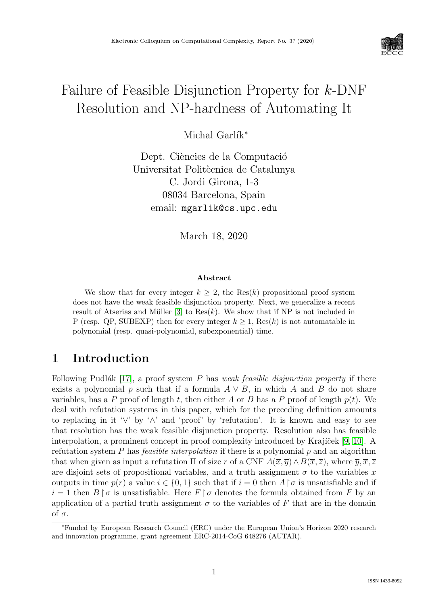

# Failure of Feasible Disjunction Property for k-DNF Resolution and NP-hardness of Automating It

Michal Garlík $*$ 

Dept. Ciències de la Computació Universitat Politècnica de Catalunya C. Jordi Girona, 1-3 08034 Barcelona, Spain email: mgarlik@cs.upc.edu

March 18, 2020

#### Abstract

We show that for every integer  $k \geq 2$ , the Res(k) propositional proof system does not have the weak feasible disjunction property. Next, we generalize a recent result of Atserias and Müller [\[3\]](#page--1-0) to  $\text{Res}(k)$ . We show that if NP is not included in P (resp. QP, SUBEXP) then for every integer  $k \geq 1$ , Res(k) is not automatable in polynomial (resp. quasi-polynomial, subexponential) time.

# 1 Introduction

Following Pudlák [\[17\]](#page--1-1), a proof system P has weak feasible disjunction property if there exists a polynomial p such that if a formula  $A \vee B$ , in which A and B do not share variables, has a P proof of length t, then either A or B has a P proof of length  $p(t)$ . We deal with refutation systems in this paper, which for the preceding definition amounts to replacing in it '∨' by '∧' and 'proof' by 'refutation'. It is known and easy to see that resolution has the weak feasible disjunction property. Resolution also has feasible interpolation, a prominent concept in proof complexity introduced by Krajíček [\[9,](#page--1-2) [10\]](#page--1-3). A refutation system  $P$  has *feasible interpolation* if there is a polynomial  $p$  and an algorithm that when given as input a refutation  $\Pi$  of size r of a CNF  $A(\overline{x}, \overline{y}) \wedge B(\overline{x}, \overline{z})$ , where  $\overline{y}, \overline{x}, \overline{z}$ are disjoint sets of propositional variables, and a truth assignment  $\sigma$  to the variables  $\bar{x}$ outputs in time  $p(r)$  a value  $i \in \{0,1\}$  such that if  $i = 0$  then  $A \upharpoonright \sigma$  is unsatisfiable and if  $i = 1$  then  $B \upharpoonright \sigma$  is unsatisfiable. Here  $F \upharpoonright \sigma$  denotes the formula obtained from F by an application of a partial truth assignment  $\sigma$  to the variables of F that are in the domain of  $\sigma$ .

<sup>∗</sup>Funded by European Research Council (ERC) under the European Union's Horizon 2020 research and innovation programme, grant agreement ERC-2014-CoG 648276 (AUTAR).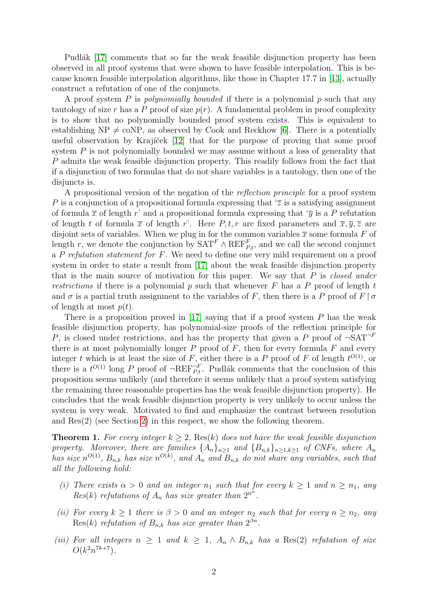Pudlák [\[17\]](#page-22-0) comments that so far the weak feasible disjunction property has been observed in all proof systems that were shown to have feasible interpolation. This is because known feasible interpolation algorithms, like those in Chapter 17.7 in [\[13\]](#page-22-1), actually construct a refutation of one of the conjuncts.

A proof system  $P$  is *polynomially bounded* if there is a polynomial  $p$  such that any tautology of size r has a P proof of size  $p(r)$ . A fundamental problem in proof complexity is to show that no polynomially bounded proof system exists. This is equivalent to establishing  $NP \neq coNP$ , as observed by Cook and Reckhow [\[6\]](#page-22-2). There is a potentially useful observation by Krajíček  $[12]$  that for the purpose of proving that some proof system  $P$  is not polynomially bounded we may assume without a loss of generality that P admits the weak feasible disjunction property. This readily follows from the fact that if a disjunction of two formulas that do not share variables is a tautology, then one of the disjuncts is.

A propositional version of the negation of the reflection principle for a proof system P is a conjunction of a propositional formula expressing that  $\overline{z}$  is a satisfying assignment of formula  $\bar{x}$  of length r' and a propositional formula expressing that  $\bar{y}$  is a P refutation of length t of formula  $\bar{x}$  of length r'. Here P, t, r are fixed parameters and  $\bar{x}, \bar{y}, \bar{z}$  are disjoint sets of variables. When we plug in for the common variables  $\bar{x}$  some formula F of length r, we denote the conjunction by  $\text{SAT}^F \wedge \text{REF}_{P,t}^F$ , and we call the second conjunct a P refutation statement for F. We need to define one very mild requirement on a proof system in order to state a result from [\[17\]](#page-22-0) about the weak feasible disjunction property that is the main source of motivation for this paper. We say that  $P$  is *closed under* restrictions if there is a polynomial  $p$  such that whenever  $F$  has a  $P$  proof of length  $t$ and  $\sigma$  is a partial truth assignment to the variables of F, then there is a P proof of  $F \upharpoonright \sigma$ of length at most  $p(t)$ .

There is a proposition proved in  $[17]$  saying that if a proof system  $P$  has the weak feasible disjunction property, has polynomial-size proofs of the reflection principle for P, is closed under restrictions, and has the property that given a P proof of  $\neg SAT^{-F}$ there is at most polynomially longer  $P$  proof of  $F$ , then for every formula  $F$  and every integer t which is at least the size of F, either there is a P proof of F of length  $t^{O(1)}$ , or there is a  $t^{O(1)}$  long P proof of  $\neg \text{REF}_{P,t}^{-F}$ . Pudlák comments that the conclusion of this proposition seems unlikely (and therefore it seems unlikely that a proof system satisfying the remaining three reasonable properties has the weak feasible disjunction property). He concludes that the weak feasible disjunction property is very unlikely to occur unless the system is very weak. Motivated to find and emphasize the contrast between resolution and Res(2) (see Section [2\)](#page-3-0) in this respect, we show the following theorem.

<span id="page-1-3"></span>**Theorem 1.** For every integer  $k > 2$ , Res(k) does not have the weak feasible disjunction property. Moreover, there are families  $\{A_n\}_{n\geq 1}$  and  $\{B_{n,k}\}_{n\geq 1,k\geq 1}$  of CNFs, where  $A_n$ has size  $n^{O(1)}$ ,  $B_{n,k}$  has size  $n^{O(k)}$ , and  $A_n$  and  $B_{n,k}$  do not share any variables, such that all the following hold:

- <span id="page-1-1"></span>(i) There exists  $\alpha > 0$  and an integer  $n_1$  such that for every  $k \ge 1$  and  $n \ge n_1$ , any  $Res(k)$  refutations of  $A_n$  has size greater than  $2^{n^{\alpha}}$ .
- <span id="page-1-0"></span>(ii) For every  $k \geq 1$  there is  $\beta > 0$  and an integer  $n_2$  such that for every  $n \geq n_2$ , any  $\text{Res}(k)$  refutation of  $B_{n,k}$  has size greater than  $2^{\beta n}$ .
- <span id="page-1-2"></span>(iii) For all integers  $n \geq 1$  and  $k \geq 1$ ,  $A_n \wedge B_{n,k}$  has a Res(2) refutation of size  $O(k^2n^{7k+7})$ .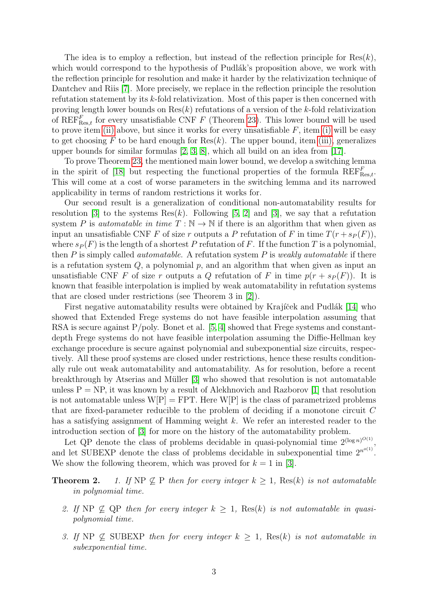The idea is to employ a reflection, but instead of the reflection principle for  $\text{Res}(k)$ , which would correspond to the hypothesis of Pudlák's proposition above, we work with the reflection principle for resolution and make it harder by the relativization technique of Dantchev and Riis [\[7\]](#page-22-4). More precisely, we replace in the reflection principle the resolution refutation statement by its k-fold relativization. Most of this paper is then concerned with proving length lower bounds on  $\text{Res}(k)$  refutations of a version of the k-fold relativization of  $\text{REF}_{\text{Res},t}^F$  for every unsatisfiable CNF F (Theorem [23\)](#page-18-0). This lower bound will be used to prove item [\(ii\)](#page-1-0) above, but since it works for every unsatisfiable  $F$ , item [\(i\)](#page-1-1) will be easy to get choosing F to be hard enough for  $\text{Res}(k)$ . The upper bound, item [\(iii\),](#page-1-2) generalizes upper bounds for similar formulas [\[2,](#page-21-0) [3,](#page-21-1) [8\]](#page-22-5), which all build on an idea from [\[17\]](#page-22-0).

To prove Theorem [23,](#page-18-0) the mentioned main lower bound, we develop a switching lemma in the spirit of [\[18\]](#page--1-4) but respecting the functional properties of the formula  $\text{REF}_{\text{Res},t}^F$ . This will come at a cost of worse parameters in the switching lemma and its narrowed applicability in terms of random restrictions it works for.

Our second result is a generalization of conditional non-automatability results for resolution [\[3\]](#page-21-1) to the systems Res $(k)$ . Following [\[5,](#page-22-6) [2\]](#page-21-0) and [3], we say that a refutation system P is *automatable in time*  $T : \mathbb{N} \to \mathbb{N}$  if there is an algorithm that when given as input an unsatisfiable CNF F of size r outputs a P refutation of F in time  $T(r + s<sub>P</sub>(F))$ , where  $s_P(F)$  is the length of a shortest P refutation of F. If the function T is a polynomial, then  $P$  is simply called *automatable*. A refutation system  $P$  is *weakly automatable* if there is a refutation system  $Q$ , a polynomial  $p$ , and an algorithm that when given as input an unsatisfiable CNF F of size r outputs a Q refutation of F in time  $p(r + sp(F))$ . It is known that feasible interpolation is implied by weak automatability in refutation systems that are closed under restrictions (see Theorem 3 in [\[2\]](#page-21-0)).

First negative automatability results were obtained by Krajíček and Pudlák [\[14\]](#page-22-7) who showed that Extended Frege systems do not have feasible interpolation assuming that RSA is secure against  $P/poly$ . Bonet et al. [\[5,](#page-22-6) [4\]](#page-21-2) showed that Frege systems and constantdepth Frege systems do not have feasible interpolation assuming the Diffie-Hellman key exchange procedure is secure against polynomial and subexponential size circuits, respectively. All these proof systems are closed under restrictions, hence these results conditionally rule out weak automatability and automatability. As for resolution, before a recent breakthrough by Atserias and Müller  $[3]$  who showed that resolution is not automatable unless  $P = NP$ , it was known by a result of Alekhnovich and Razborov [\[1\]](#page-21-3) that resolution is not automatable unless  $W[P] = FPT$ . Here  $W[P]$  is the class of parametrized problems that are fixed-parameter reducible to the problem of deciding if a monotone circuit C has a satisfying assignment of Hamming weight k. We refer an interested reader to the introduction section of [\[3\]](#page-21-1) for more on the history of the automatability problem.

Let QP denote the class of problems decidable in quasi-polynomial time  $2^{(\log n)^{O(1)}},$ and let SUBEXP denote the class of problems decidable in subexponential time  $2^{n^{o(1)}}$ . We show the following theorem, which was proved for  $k = 1$  in [\[3\]](#page-21-1).

<span id="page-2-0"></span>**Theorem 2.** 1. If NP  $\nsubseteq$  P then for every integer  $k \geq 1$ , Res(k) is not automatable in polynomial time.

- 2. If NP  $\subseteq$  QP then for every integer  $k \geq 1$ , Res(k) is not automatable in quasipolynomial time.
- 3. If NP  $\nsubseteq$  SUBEXP then for every integer  $k \geq 1$ , Res(k) is not automatable in subexponential time.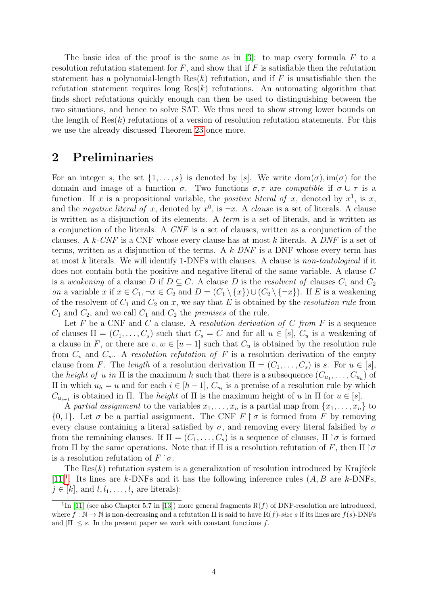The basic idea of the proof is the same as in [\[3\]](#page-21-1): to map every formula  $F$  to a resolution refutation statement for  $F$ , and show that if  $F$  is satisfiable then the refutation statement has a polynomial-length  $\text{Res}(k)$  refutation, and if F is unsatisfiable then the refutation statement requires long  $Res(k)$  refutations. An automating algorithm that finds short refutations quickly enough can then be used to distinguishing between the two situations, and hence to solve SAT. We thus need to show strong lower bounds on the length of  $Res(k)$  refutations of a version of resolution refutation statements. For this we use the already discussed Theorem [23](#page-18-0) once more.

# <span id="page-3-0"></span>2 Preliminaries

For an integer s, the set  $\{1,\ldots,s\}$  is denoted by [s]. We write  $dom(\sigma), im(\sigma)$  for the domain and image of a function  $\sigma$ . Two functions  $\sigma$ ,  $\tau$  are *compatible* if  $\sigma \cup \tau$  is a function. If x is a propositional variable, the *positive literal of* x, denoted by  $x^1$ , is x, and the *negative literal of x*, denoted by  $x^0$ , is  $\neg x$ . A *clause* is a set of literals. A clause is written as a disjunction of its elements. A term is a set of literals, and is written as a conjunction of the literals. A CNF is a set of clauses, written as a conjunction of the clauses. A  $k$ -CNF is a CNF whose every clause has at most k literals. A DNF is a set of terms, written as a disjunction of the terms. A  $k$ -DNF is a DNF whose every term has at most k literals. We will identify 1-DNFs with clauses. A clause is non-tautological if it does not contain both the positive and negative literal of the same variable. A clause C is a weakening of a clause D if  $D \subseteq C$ . A clause D is the resolvent of clauses  $C_1$  and  $C_2$ on a variable x if  $x \in C_1$ ,  $\neg x \in C_2$  and  $D = (C_1 \setminus \{x\}) \cup (C_2 \setminus \{\neg x\})$ . If E is a weakening of the resolvent of  $C_1$  and  $C_2$  on x, we say that E is obtained by the resolution rule from  $C_1$  and  $C_2$ , and we call  $C_1$  and  $C_2$  the *premises* of the rule.

Let  $F$  be a CNF and  $C$  a clause. A resolution derivation of  $C$  from  $F$  is a sequence of clauses  $\Pi = (C_1, \ldots, C_s)$  such that  $C_s = C$  and for all  $u \in [s], C_u$  is a weakening of a clause in F, or there are  $v, w \in [u-1]$  such that  $C_u$  is obtained by the resolution rule from  $C_v$  and  $C_w$ . A resolution refutation of F is a resolution derivation of the empty clause from F. The length of a resolution derivation  $\Pi = (C_1, \ldots, C_s)$  is s. For  $u \in [s]$ , the *height of u in*  $\Pi$  is the maximum h such that there is a subsequence  $(C_{u_1}, \ldots, C_{u_h})$  of  $\Pi$  in which *u<sub>h</sub>* = *u* and for each *i* ∈ [*h* − 1],  $C_{u_i}$  is a premise of a resolution rule by which  $C_{u_{i+1}}$  is obtained in Π. The *height* of Π is the maximum height of u in Π for  $u \in [s]$ .

A partial assignment to the variables  $x_1, \ldots, x_n$  is a partial map from  $\{x_1, \ldots, x_n\}$  to  $\{0, 1\}$ . Let  $\sigma$  be a partial assignment. The CNF  $F \upharpoonright \sigma$  is formed from F by removing every clause containing a literal satisfied by  $\sigma$ , and removing every literal falsified by  $\sigma$ from the remaining clauses. If  $\Pi = (C_1, \ldots, C_s)$  is a sequence of clauses,  $\Pi \upharpoonright \sigma$  is formed from Π by the same operations. Note that if Π is a resolution refutation of F, then  $\Pi \upharpoonright \sigma$ is a resolution refutation of  $F \upharpoonright \sigma$ .

The  $\text{Res}(k)$  refutation system is a generalization of resolution introduced by Krajíček [\[11\]](#page-22-8)<sup>[1](#page-3-1)</sup>. Its lines are k-DNFs and it has the following inference rules  $(A, B$  are k-DNFs,  $j \in [k]$ , and  $l, l_1, \ldots, l_j$  are literals):

<span id="page-3-1"></span><sup>&</sup>lt;sup>1</sup>In [\[11\]](#page-22-8) (see also Chapter 5.7 in [\[13\]](#page-22-1)) more general fragments  $R(f)$  of DNF-resolution are introduced, where  $f : \mathbb{N} \to \mathbb{N}$  is non-decreasing and a refutation  $\Pi$  is said to have  $R(f)$ -size s if its lines are  $f(s)$ -DNFs and  $|\Pi| \leq s$ . In the present paper we work with constant functions f.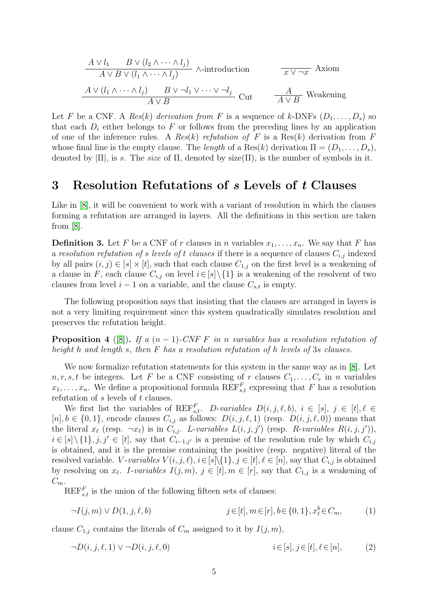$$
\frac{A \lor l_1 \qquad B \lor (l_2 \land \cdots \land l_j)}{A \lor B \lor (l_1 \land \cdots \land l_j)} \land \text{-introduction} \qquad \qquad \frac{x \lor \neg x}{x \lor \neg x} \text{ Axiom}
$$
\n
$$
\frac{A \lor (l_1 \land \cdots \land l_j) \qquad B \lor \neg l_1 \lor \cdots \lor \neg l_j}{A \lor B} \text{ Cut} \qquad \frac{A}{A \lor B} \text{ Weakening}
$$

Let F be a CNF. A Res(k) derivation from F is a sequence of k-DNFs  $(D_1, \ldots, D_s)$  so that each  $D_i$  either belongs to F or follows from the preceding lines by an application of one of the inference rules. A Res(k) refutation of F is a Res(k) derivation from F whose final line is the empty clause. The length of a Res(k) derivation  $\Pi = (D_1, \ldots, D_s)$ , denoted by  $|\Pi|$ , is s. The size of  $\Pi$ , denoted by size( $\Pi$ ), is the number of symbols in it.

#### 3 Resolution Refutations of s Levels of t Clauses

Like in [\[8\]](#page-22-5), it will be convenient to work with a variant of resolution in which the clauses forming a refutation are arranged in layers. All the definitions in this section are taken from [\[8\]](#page-22-5).

**Definition 3.** Let F be a CNF of r clauses in n variables  $x_1, \ldots, x_n$ . We say that F has a resolution refutation of s levels of t clauses if there is a sequence of clauses  $C_{i,j}$  indexed by all pairs  $(i, j) \in [s] \times [t]$ , such that each clause  $C_{1,i}$  on the first level is a weakening of a clause in F, each clause  $C_{i,j}$  on level  $i \in [s] \setminus \{1\}$  is a weakening of the resolvent of two clauses from level  $i - 1$  on a variable, and the clause  $C_{s,t}$  is empty.

The following proposition says that insisting that the clauses are arranged in layers is not a very limiting requirement since this system quadratically simulates resolution and preserves the refutation height.

**Proposition 4** ([\[8\]](#page-22-5)). If a  $(n-1)$ -CNF F in n variables has a resolution refutation of height h and length s, then F has a resolution refutation of h levels of 3s clauses.

We now formalize refutation statements for this system in the same way as in [\[8\]](#page-22-5). Let  $n, r, s, t$  be integers. Let F be a CNF consisting of r clauses  $C_1, \ldots, C_r$  in n variables  $x_1, \ldots, x_n$ . We define a propositional formula  $\text{REF}_{s,t}^F$  expressing that F has a resolution refutation of s levels of t clauses.

We first list the variables of  $REF_{s,t}^F$ . D-variables  $D(i, j, \ell, b)$ ,  $i \in [s], j \in [t], \ell \in$  $[n], b \in \{0, 1\}$ , encode clauses  $C_{i,j}$  as follows:  $D(i, j, \ell, 1)$  (resp.  $D(i, j, \ell, 0)$ ) means that the literal  $x_{\ell}$  (resp.  $\neg x_{\ell}$ ) is in  $C_{i,j}$ . L-variables  $L(i, j, j')$  (resp. R-variables  $R(i, j, j')$ ),  $i \in [s] \setminus \{1\}, j, j' \in [t]$ , say that  $C_{i-1,j'}$  is a premise of the resolution rule by which  $C_{i,j}$ is obtained, and it is the premise containing the positive (resp. negative) literal of the resolved variable. *V*-variables  $V(i, j, \ell), i \in [s] \setminus \{1\}, j \in [t], \ell \in [n]$ , say that  $C_{i,j}$  is obtained by resolving on  $x_{\ell}$ . I-variables  $I(j, m)$ ,  $j \in [t]$ ,  $m \in [r]$ , say that  $C_{1,j}$  is a weakening of  $C_m$ .

 $\operatorname{REF}_{s,t}^F$  is the union of the following fifteen sets of clauses:

<span id="page-4-1"></span>
$$
\neg I(j,m) \lor D(1,j,\ell,b) \qquad j \in [t], m \in [r], b \in \{0,1\}, x_{\ell}^b \in C_m, \qquad (1)
$$

clause  $C_{1,j}$  contains the literals of  $C_m$  assigned to it by  $I(j, m)$ ,

<span id="page-4-0"></span>
$$
\neg D(i, j, \ell, 1) \lor \neg D(i, j, \ell, 0) \qquad i \in [s], j \in [t], \ell \in [n], \tag{2}
$$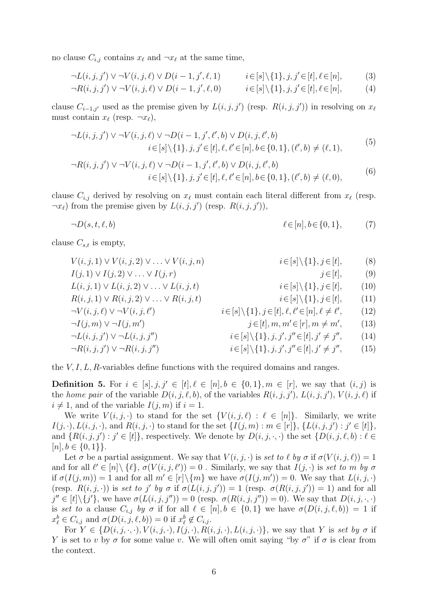no clause  $C_{i,j}$  contains  $x_\ell$  and  $\neg x_\ell$  at the same time,

$$
\neg L(i,j,j') \lor \neg V(i,j,\ell) \lor D(i-1,j',\ell,1) \qquad i \in [s] \setminus \{1\}, j,j' \in [t], \ell \in [n],
$$
 (3)

<span id="page-5-11"></span><span id="page-5-9"></span>
$$
\neg R(i,j,j') \lor \neg V(i,j,\ell) \lor D(i-1,j',\ell,0) \qquad i \in [s] \setminus \{1\}, j,j' \in [t], \ell \in [n], \tag{4}
$$

clause  $C_{i-1,j'}$  used as the premise given by  $L(i, j, j')$  (resp.  $R(i, j, j')$ ) in resolving on  $x_{\ell}$ must contain  $x_{\ell}$  (resp.  $\neg x_{\ell}$ ),

<span id="page-5-10"></span>
$$
\neg L(i,j,j') \lor \neg V(i,j,\ell) \lor \neg D(i-1,j',\ell',b) \lor D(i,j,\ell',b) i \in [s] \setminus \{1\}, j,j' \in [t], \ell, \ell' \in [n], b \in \{0,1\}, (\ell',b) \neq (\ell,1),
$$
 (5)

<span id="page-5-12"></span>
$$
\neg R(i,j,j') \lor \neg V(i,j,\ell) \lor \neg D(i-1,j',\ell',b) \lor D(i,j,\ell',b) i \in [s] \setminus \{1\}, j,j' \in [t], \ell, \ell' \in [n], b \in \{0,1\}, (\ell',b) \neq (\ell,0),
$$
 (6)

clause  $C_{i,j}$  derived by resolving on  $x_\ell$  must contain each literal different from  $x_\ell$  (resp.  $\neg x_{\ell}$ ) from the premise given by  $L(i, j, j')$  (resp.  $R(i, j, j')$ ),

<span id="page-5-13"></span><span id="page-5-1"></span>
$$
\neg D(s, t, \ell, b) \qquad \qquad \ell \in [n], b \in \{0, 1\}, \tag{7}
$$

clause  $C_{s,t}$  is empty,

<span id="page-5-8"></span><span id="page-5-7"></span>
$$
V(i, j, 1) \vee V(i, j, 2) \vee \dots \vee V(i, j, n) \qquad i \in [s] \setminus \{1\}, j \in [t],
$$
 (8)  
\n
$$
I(j, 1) \vee I(j, 2) \vee \dots \vee I(j, r) \qquad j \in [t],
$$
 (9)  
\n
$$
L(i, j, 1) \vee L(i, j, 2) \vee \dots \vee L(i, j, t) \qquad i \in [s] \setminus \{1\}, j \in [t],
$$
 (10)  
\n
$$
R(i, j, 1) \vee R(i, j, 2) \vee \dots \vee R(i, j, t) \qquad i \in [s] \setminus \{1\}, j \in [t],
$$
 (11)  
\n
$$
\neg V(i, j, \ell) \vee \neg V(i, j, \ell') \qquad i \in [s] \setminus \{1\}, j \in [t], \ell, \ell' \in [n], \ell \neq \ell',
$$
 (12)  
\n
$$
\neg I(j, m) \vee \neg I(j, m') \qquad j \in [t], m, m' \in [r], m \neq m',
$$
 (13)

<span id="page-5-6"></span><span id="page-5-5"></span><span id="page-5-4"></span><span id="page-5-3"></span>
$$
\neg L(i, j, j') \lor \neg L(i, j, j'')
$$
\n
$$
i \in [s] \setminus \{1\}, j, j', j'' \in [t], j' \neq j'', \qquad (14)
$$
\n
$$
\neg L(i, j, j') \lor \neg L(i, j, j'')
$$

<span id="page-5-0"></span>
$$
\neg R(i,j,j') \lor \neg R(i,j,j'') \qquad i \in [s] \setminus \{1\}, j,j',j'' \in [t], j' \neq j'', \qquad (15)
$$

the  $V, I, L, R$ -variables define functions with the required domains and ranges.

<span id="page-5-2"></span>**Definition 5.** For  $i \in [s], j, j' \in [t], \ell \in [n], b \in \{0, 1\}, m \in [r]$ , we say that  $(i, j)$  is the home pair of the variable  $D(i, j, \ell, b)$ , of the variables  $R(i, j, j')$ ,  $L(i, j, j')$ ,  $V(i, j, \ell)$  if  $i \neq 1$ , and of the variable  $I(j, m)$  if  $i = 1$ .

We write  $V(i, j, \cdot)$  to stand for the set  $\{V(i, j, \ell) : \ell \in [n]\}.$  Similarly, we write  $I(j, \cdot), L(i, j, \cdot), \text{ and } R(i, j, \cdot) \text{ to stand for the set } \{I(j, m) : m \in [r]\}, \{L(i, j, j') : j' \in [t]\},\$ and  $\{R(i, j, j'): j' \in [t]\}$ , respectively. We denote by  $D(i, j, \cdot, \cdot)$  the set  $\{D(i, j, \ell, b): \ell \in$  $[n], b \in \{0, 1\}\}.$ 

Let  $\sigma$  be a partial assignment. We say that  $V(i, j, \cdot)$  is set to  $\ell$  by  $\sigma$  if  $\sigma(V(i, j, \ell)) = 1$ and for all  $\ell' \in [n] \setminus \{\ell\}, \sigma(V(i,j,\ell')) = 0$ . Similarly, we say that  $I(j, \cdot)$  is set to m by  $\sigma$ if  $\sigma(I(j,m)) = 1$  and for all  $m' \in [r] \setminus \{m\}$  we have  $\sigma(I(j, m')) = 0$ . We say that  $L(i, j, \cdot)$ (resp.  $R(i, j, \cdot)$ ) is set to j' by  $\sigma$  if  $\sigma(L(i, j, j')) = 1$  (resp.  $\sigma(R(i, j, j')) = 1$ ) and for all  $j'' \in [t] \setminus \{j'\},\$  we have  $\sigma(L(i, j, j'')) = 0$  (resp.  $\sigma(R(i, j, j'')) = 0$ ). We say that  $D(i, j, \cdot, \cdot)$ is set to a clause  $C_{i,j}$  by  $\sigma$  if for all  $\ell \in [n], b \in \{0,1\}$  we have  $\sigma(D(i, j, \ell, b)) = 1$  if  $x_{\ell}^{b} \in C_{i,j}$  and  $\sigma(D(i,j,\ell,b)) = 0$  if  $x_{\ell}^{b} \notin C_{i,j}$ .

For  $Y \in \{D(i, j, \cdot, \cdot), V(i, j, \cdot), I(j, \cdot), R(i, j, \cdot), L(i, j, \cdot)\}\)$ , we say that Y is set by  $\sigma$  if Y is set to v by  $\sigma$  for some value v. We will often omit saying "by  $\sigma$ " if  $\sigma$  is clear from the context.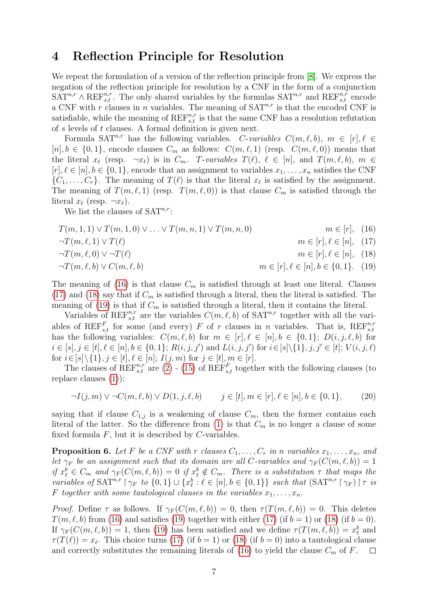## 4 Reflection Principle for Resolution

We repeat the formulation of a version of the reflection principle from [\[8\]](#page-22-5). We express the negation of the reflection principle for resolution by a CNF in the form of a conjunction SAT<sup>n,r</sup> ∧ REF<sup>n,r</sup>. The only shared variables by the formulas SAT<sup>n,r</sup> and REF<sup>n,r</sup> encode a CNF with r clauses in n variables. The meaning of  $SAT^{n,r}$  is that the encoded CNF is satisfiable, while the meaning of  $\text{REF}_{s,t}^{n,r}$  is that the same CNF has a resolution refutation of s levels of t clauses. A formal definition is given next.

Formula SAT<sup>n,r</sup> has the following variables. C-variables  $C(m, \ell, b)$ ,  $m \in [r], \ell \in$  $[n], b \in \{0, 1\}$ , encode clauses  $C_m$  as follows:  $C(m, \ell, 1)$  (resp.  $C(m, \ell, 0)$ ) means that the literal  $x_{\ell}$  (resp.  $\neg x_{\ell}$ ) is in  $C_m$ . T-variables  $T(\ell), \ell \in [n]$ , and  $T(m, \ell, b)$ ,  $m \in$  $[r], \ell \in [n], b \in \{0, 1\}$ , encode that an assignment to variables  $x_1, \ldots, x_n$  satisfies the CNF  $\{C_1, \ldots, C_r\}$ . The meaning of  $T(\ell)$  is that the literal  $x_{\ell}$  is satisfied by the assignment. The meaning of  $T(m, \ell, 1)$  (resp.  $T(m, \ell, 0)$ ) is that clause  $C_m$  is satisfied through the literal  $x_{\ell}$  (resp.  $\neg x_{\ell}$ ).

<span id="page-6-3"></span><span id="page-6-2"></span><span id="page-6-1"></span><span id="page-6-0"></span>We list the clauses of  $SAT^{n,r}$ :

$$
T(m, 1, 1) \lor T(m, 1, 0) \lor \dots \lor T(m, n, 1) \lor T(m, n, 0)
$$
  
\n
$$
\neg T(m, \ell, 1) \lor T(\ell)
$$
  
\n
$$
\neg T(m, \ell, 0) \lor \neg T(\ell)
$$
  
\n
$$
m \in [r], \ell \in [n], (17)
$$
  
\n
$$
m \in [r], \ell \in [n], (18)
$$

$$
\neg T(m,\ell,b) \lor C(m,\ell,b) \qquad m \in [r], \ell \in [n], b \in \{0,1\}. \tag{19}
$$

The meaning of [\(16\)](#page-6-0) is that clause  $C_m$  is satisfied through at least one literal. Clauses [\(17\)](#page-6-1) and [\(18\)](#page-6-2) say that if  $C_m$  is satisfied through a literal, then the literal is satisfied. The meaning of [\(19\)](#page-6-3) is that if  $C_m$  is satisfied through a literal, then it contains the literal.

Variables of  $\text{REF}_{s,t}^{n,r}$  are the variables  $C(m,\ell,b)$  of  $\text{SAT}^{n,r}$  together with all the variables of  $\text{REF}_{s,t}^F$  for some (and every) F of r clauses in n variables. That is,  $\text{REF}_{s,t}^{n,r}$ has the following variables:  $C(m, \ell, b)$  for  $m \in [r], \ell \in [n], b \in \{0, 1\}; D(i, j, \ell, b)$  for  $i \in [s], j \in [t], \ell \in [n], b \in \{0, 1\}; R(i, j, j') \text{ and } L(i, j, j') \text{ for } i \in [s] \setminus \{1\}, j, j' \in [t]; V(i, j, \ell)$ for  $i \in [s] \setminus \{1\}, j \in [t], \ell \in [n]; I(j, m)$  for  $j \in [t], m \in [r]$ .

The clauses of  $\text{REF}_{s,t}^{n,r}$  are [\(2\)](#page-4-0) - [\(15\)](#page-5-0) of  $\text{REF}_{s,t}^{F}$  together with the following clauses (to replace clauses [\(1\)](#page-4-1)):

$$
\neg I(j,m) \lor \neg C(m,\ell,b) \lor D(1,j,\ell,b) \qquad j \in [t], m \in [r], \ell \in [n], b \in \{0,1\},\tag{20}
$$

saying that if clause  $C_{1,j}$  is a weakening of clause  $C_m$ , then the former contains each literal of the latter. So the difference from [\(1\)](#page-4-1) is that  $C_m$  is no longer a clause of some fixed formula  $F$ , but it is described by  $C$ -variables.

<span id="page-6-4"></span>**Proposition 6.** Let F be a CNF with r clauses  $C_1, \ldots, C_r$  in n variables  $x_1, \ldots, x_n$ , and let  $\gamma_F$  be an assignment such that its domain are all C-variables and  $\gamma_F(C(m, \ell, b)) = 1$ if  $x_{\ell}^b \in C_m$  and  $\gamma_F(C(m,\ell,b)) = 0$  if  $x_{\ell}^b \notin C_m$ . There is a substitution  $\tau$  that maps the variables of  $\text{SAT}^{n,r} \upharpoonright \gamma_F$  to  $\{0,1\} \cup \{x_\ell^b : \ell \in [n], b \in \{0,1\}\}\$  such that  $(\text{SAT}^{n,r} \upharpoonright \gamma_F) \upharpoonright \tau$  is F together with some tautological clauses in the variables  $x_1, \ldots, x_n$ .

*Proof.* Define  $\tau$  as follows. If  $\gamma_F(C(m, \ell, b)) = 0$ , then  $\tau(T(m, \ell, b)) = 0$ . This deletes  $T(m, \ell, b)$  from [\(16\)](#page-6-0) and satisfies [\(19\)](#page-6-3) together with either [\(17\)](#page-6-1) (if  $b = 1$ ) or [\(18\)](#page-6-2) (if  $b = 0$ ). If  $\gamma_F(C(m, \ell, b)) = 1$ , then [\(19\)](#page-6-3) has been satisfied and we define  $\tau(T(m, \ell, b)) = x_{\ell}^b$  and  $\tau(T(\ell)) = x_{\ell}$ . This choice turns [\(17\)](#page-6-1) (if  $b = 1$ ) or [\(18\)](#page-6-2) (if  $b = 0$ ) into a tautological clause and correctly substitutes the remaining literals of [\(16\)](#page-6-0) to yield the clause  $C_m$  of F.  $\Box$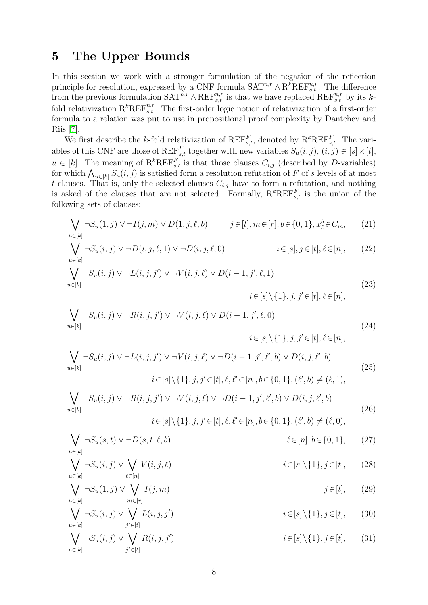# <span id="page-7-11"></span>5 The Upper Bounds

In this section we work with a stronger formulation of the negation of the reflection principle for resolution, expressed by a CNF formula  $\text{SAT}^{n,r} \wedge \text{R}^k \text{REF}_{s,t}^{n,r}$ . The difference from the previous formulation  $SAT^{n,r} \wedge REF^{n,r}_{s,t}$  is that we have replaced  $REF^{n,r}_{s,t}$  by its kfold relativization  $R^k R E F^{n,r}_{s,t}$ . The first-order logic notion of relativization of a first-order formula to a relation was put to use in propositional proof complexity by Dantchev and Riis [\[7\]](#page-22-4).

We first describe the k-fold relativization of  $\text{REF}_{s,t}^F$ , denoted by  $\mathbf{R}^k\text{REF}_{s,t}^F$ . The variables of this CNF are those of  $REF_{s,t}^F$  together with new variables  $S_u(i,j), (i,j) \in [s] \times [t]$ ,  $u \in [k]$ . The meaning of  $\mathsf{R}^k \mathsf{REF}_{s,t}^F$  is that those clauses  $C_{i,j}$  (described by D-variables) for which  $\bigwedge_{u\in[k]} S_u(i,j)$  is satisfied form a resolution refutation of F of s levels of at most t clauses. That is, only the selected clauses  $C_{i,j}$  have to form a refutation, and nothing is asked of the clauses that are not selected. Formally,  $R^k R E F_{s,t}^F$  is the union of the following sets of clauses:

$$
\bigvee_{u \in [k]} \neg S_u(1,j) \lor \neg I(j,m) \lor D(1,j,\ell,b) \qquad j \in [t], m \in [r], b \in \{0,1\}, x_\ell^b \in C_m,\tag{21}
$$

$$
\bigvee_{u \in [k]} \neg S_u(i,j) \lor \neg D(i,j,\ell,1) \lor \neg D(i,j,\ell,0) \qquad i \in [s], j \in [t], \ell \in [n], \qquad (22)
$$

$$
\bigvee_{u\in[k]} \neg S_u(i,j) \lor \neg L(i,j,j') \lor \neg V(i,j,\ell) \lor D(i-1,j',\ell,1)
$$
  
\n
$$
i \in [s] \setminus \{1\}, j,j' \in [t], \ell \in [n],
$$
\n(23)

$$
\bigvee_{u \in [k]} \neg S_u(i,j) \lor \neg R(i,j,j') \lor \neg V(i,j,\ell) \lor D(i-1,j',\ell,0)
$$
  
\n
$$
i \in [s] \setminus \{1\}, j,j' \in [t], \ell \in [n],
$$
\n(24)

$$
\bigvee_{u \in [k]} \neg S_u(i,j) \lor \neg L(i,j,j') \lor \neg V(i,j,\ell) \lor \neg D(i-1,j',\ell',b) \lor D(i,j,\ell',b)
$$
  
\n
$$
i \in [s] \setminus \{1\}, j,j' \in [t], \ell, \ell' \in [n], b \in \{0,1\}, (\ell',b) \neq (\ell,1),
$$
\n(25)

$$
\bigvee_{u \in [k]} \neg S_u(i,j) \lor \neg R(i,j,j') \lor \neg V(i,j,\ell) \lor \neg D(i-1,j',\ell',b) \lor D(i,j,\ell',b)
$$
\n(26)

<span id="page-7-10"></span><span id="page-7-9"></span><span id="page-7-8"></span><span id="page-7-7"></span><span id="page-7-6"></span><span id="page-7-5"></span><span id="page-7-4"></span><span id="page-7-3"></span><span id="page-7-2"></span><span id="page-7-1"></span><span id="page-7-0"></span>
$$
i \in [s] \setminus \{1\}, j, j' \in [t], \ell, \ell' \in [n], b \in \{0, 1\}, (\ell', b) \neq (\ell, 0),
$$

$$
\bigvee_{u \in [k]} \neg S_u(s, t) \lor \neg D(s, t, \ell, b) \qquad \ell \in [n], b \in \{0, 1\}, \qquad (27)
$$

$$
\bigvee_{u \in [k]} \neg S_u(i,j) \lor \bigvee_{\ell \in [n]} V(i,j,\ell) \qquad i \in [s] \setminus \{1\}, j \in [t], \qquad (28)
$$

$$
\bigvee_{u \in [k]} \neg S_u(1,j) \lor \bigvee_{m \in [r]} I(j,m) \qquad j \in [t], \qquad (29)
$$

$$
\bigvee_{u \in [k]} \neg S_u(i,j) \lor \bigvee_{j' \in [t]} L(i,j,j')
$$
\n
$$
i \in [s] \setminus \{1\}, j \in [t],
$$
\n(30)

$$
\bigvee_{u \in [k]} \neg S_u(i,j) \lor \bigvee_{j' \in [t]} R(i,j,j')
$$
\n
$$
i \in [s] \setminus \{1\}, j \in [t], \qquad (31)
$$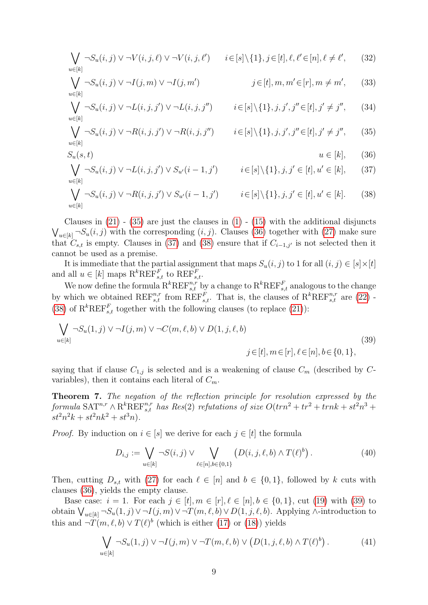$$
\bigvee_{u \in [k]} \neg S_u(i,j) \lor \neg V(i,j,\ell) \lor \neg V(i,j,\ell') \qquad i \in [s] \setminus \{1\}, j \in [t], \ell, \ell' \in [n], \ell \neq \ell', \qquad (32)
$$
\n
$$
\bigvee_{u \in [k]} \neg S_u(i,j) \lor \neg I(j,m) \lor \neg I(j,m') \qquad j \in [t], m, m' \in [r], m \neq m', \qquad (33)
$$
\n
$$
\bigvee_{u \in [k]} \neg S_u(i,j) \lor \neg L(i,j,j') \lor \neg L(i,j,j'') \qquad i \in [s] \setminus \{1\}, j, j', j'' \in [t], j' \neq j'', \qquad (34)
$$
\n
$$
\bigvee_{u \in [k]} \neg S_u(i,j) \lor \neg R(i,j,j') \lor \neg R(i,j,j'') \qquad i \in [s] \setminus \{1\}, j, j', j'' \in [t], j' \neq j'', \qquad (35)
$$
\n
$$
S_u(s,t) \qquad u \in [k], \qquad (36)
$$
\n
$$
\bigvee_{u \in [k]} \neg S_u(i,j) \lor \neg L(i,j,j') \lor S_{u'}(i-1,j') \qquad i \in [s] \setminus \{1\}, j, j' \in [t], u' \in [k], \qquad (37)
$$
\n
$$
\bigvee_{u \in [k]} \neg S_u(i,j) \lor \neg L(i,j,j') \lor S_{u'}(i-1,j') \qquad i \in [s] \setminus \{1\}, j, j' \in [t], u' \in [k], \qquad (38)
$$

<span id="page-8-3"></span><span id="page-8-2"></span><span id="page-8-1"></span><span id="page-8-0"></span>
$$
\bigvee_{u \in [k]} \neg S_u(i,j) \lor \neg R(i,j,j') \lor S_{u'}(i-1,j') \qquad i \in [s] \setminus \{1\}, j,j' \in [t], u' \in [k]. \tag{38}
$$

Clauses in  $(21)$  -  $(35)$  are just the clauses in  $(1)$  -  $(15)$  with the additional disjuncts  $\bigvee_{u\in[k]} \neg S_u(i,j)$  with the corresponding  $(i,j)$ . Clauses [\(36\)](#page-8-1) together with [\(27\)](#page-7-1) make sure that  $C_{s,t}$  is empty. Clauses in [\(37\)](#page-8-2) and [\(38\)](#page-8-3) ensure that if  $C_{i-1,j'}$  is not selected then it cannot be used as a premise.

It is immediate that the partial assignment that maps  $S_u(i, j)$  to 1 for all  $(i, j) \in [s] \times [t]$ and all  $u \in [k]$  maps  $\mathbf{R}^k \mathbf{REF}_{s,t}^F$  to  $\mathbf{REF}_{s,t}^F$ .

We now define the formula  $R^k R E F^{n,r}_{s,t}$  by a change to  $R^k R E F^F_{s,t}$  analogous to the change by which we obtained  $\text{REF}_{s,t}^{n,r}$  from  $\text{REF}_{s,t}^F$ . That is, the clauses of  $\text{R}^k\text{REF}_{s,t}^{n,r}$  are [\(22\)](#page-7-2) -[\(38\)](#page-8-3) of  $\mathcal{R}^k \text{REF}_{s,t}^F$  together with the following clauses (to replace [\(21\)](#page-7-0)):

<span id="page-8-4"></span>
$$
\bigvee_{u \in [k]} \neg S_u(1, j) \lor \neg I(j, m) \lor \neg C(m, \ell, b) \lor D(1, j, \ell, b)
$$
  
\n
$$
j \in [t], m \in [r], \ell \in [n], b \in \{0, 1\},
$$
\n(39)

saying that if clause  $C_{1,j}$  is selected and is a weakening of clause  $C_m$  (described by Cvariables), then it contains each literal of  $C_m$ .

<span id="page-8-6"></span>Theorem 7. The negation of the reflection principle for resolution expressed by the  $formula$  SAT<sup>n,r</sup>  $\wedge$  R<sup>k</sup>REF<sup>n,r</sup> has Res(2) refutations of size  $O(trn^2 + tr^2 + trnk + st^2n^3 +$  $st^2n^2k + st^2nk^2 + st^3n$ .

*Proof.* By induction on  $i \in [s]$  we derive for each  $j \in [t]$  the formula

$$
D_{i,j} := \bigvee_{u \in [k]} \neg S(i,j) \vee \bigvee_{\ell \in [n], b \in \{0,1\}} \left( D(i,j,\ell,b) \wedge T(\ell)^b \right). \tag{40}
$$

Then, cutting  $D_{s,t}$  with [\(27\)](#page-7-1) for each  $\ell \in [n]$  and  $b \in \{0,1\}$ , followed by k cuts with clauses [\(36\)](#page-8-1), yields the empty clause.

Base case:  $i = 1$ . For each  $j \in [t], m \in [r], \ell \in [n], b \in \{0, 1\}$ , cut [\(19\)](#page-6-3) with [\(39\)](#page-8-4) to obtain  $\bigvee_{u\in[k]} \neg S_u(1, j) \vee \neg I(j, m) \vee \neg T(m, \ell, b) \vee D(1, j, \ell, b)$ . Applying ∧-introduction to this and  $\neg T(m, \ell, b) \vee T(\ell)^b$  (which is either [\(17\)](#page-6-1) or [\(18\)](#page-6-2)) yields

<span id="page-8-5"></span>
$$
\bigvee_{u \in [k]} \neg S_u(1,j) \lor \neg I(j,m) \lor \neg T(m,\ell,b) \lor \left(D(1,j,\ell,b) \land T(\ell)^b\right). \tag{41}
$$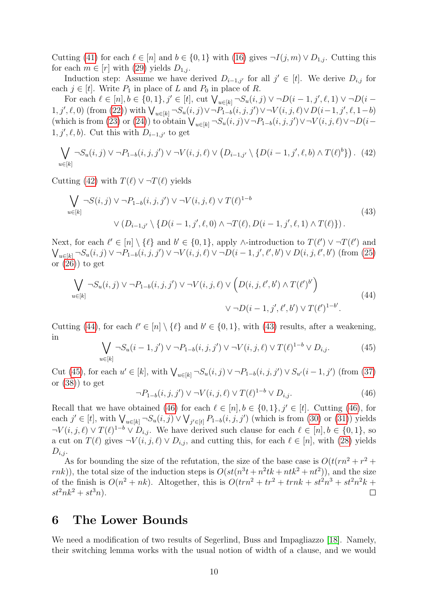Cutting [\(41\)](#page-8-5) for each  $\ell \in [n]$  and  $b \in \{0, 1\}$  with [\(16\)](#page-6-0) gives  $\neg I(j, m) \vee D_{1,i}$ . Cutting this for each  $m \in [r]$  with [\(29\)](#page-7-3) yields  $D_{1,j}$ .

Induction step: Assume we have derived  $D_{i-1,j'}$  for all  $j' \in [t]$ . We derive  $D_{i,j}$  for each  $j \in [t]$ . Write  $P_1$  in place of L and  $P_0$  in place of R.

For each  $\ell \in [n], b \in \{0, 1\}, j' \in [t]$ , cut  $\bigvee_{u \in [k]} \neg S_u(i, j) \vee \neg D(i-1, j', \ell, 1) \vee \neg D(i-1, j', \ell')$ 1, j',  $\ell$ , 0) (from [\(22\)](#page-7-2)) with  $\bigvee_{u \in [k]} \neg S_u(i,j) \vee \neg P_{1-b}(i,j,j') \vee \neg V(i,j,\ell) \vee D(i-1,j',\ell,1-b)$ (which is from [\(23\)](#page-7-4) or [\(24\)](#page-7-5)) to obtain  $\bigvee_{u\in[k]}\neg S_u(i,j)\vee \neg P_{1-b}(i,j,j')\vee \neg V(i,j,\ell)\vee \neg D(i-\ell')$  $1, j', \ell, b$ . Cut this with  $D_{i-1,j'}$  to get

<span id="page-9-0"></span>
$$
\bigvee_{u \in [k]} \neg S_u(i,j) \lor \neg P_{1-b}(i,j,j') \lor \neg V(i,j,\ell) \lor \big(D_{i-1,j'} \setminus \{D(i-1,j',\ell,b) \land T(\ell)^b\}\big).
$$
 (42)

Cutting [\(42\)](#page-9-0) with  $T(\ell) \vee \neg T(\ell)$  yields

$$
\bigvee_{u \in [k]} \neg S(i,j) \lor \neg P_{1-b}(i,j,j') \lor \neg V(i,j,\ell) \lor T(\ell)^{1-b}
$$
  
\$\lor (D\_{i-1,j'} \setminus \{D(i-1,j',\ell,0) \land \neg T(\ell), D(i-1,j',\ell,1) \land T(\ell)\}\$. (43)

Next, for each  $\ell' \in [n] \setminus \{\ell\}$  and  $b' \in \{0,1\}$ , apply ∧-introduction to  $T(\ell') \vee T(\ell')$  and  $\bigvee_{u\in[k]} \neg S_u(i,j) \vee \neg P_{1-b}(i,j,j') \vee \neg V(i,j,\ell) \vee \neg D(i-1,j',\ell',b') \vee D(i,j,\ell',b')$  (from [\(25\)](#page-7-6) or  $(26)$  to get

$$
\bigvee_{u \in [k]} \neg S_u(i,j) \lor \neg P_{1-b}(i,j,j') \lor \neg V(i,j,\ell) \lor \left(D(i,j,\ell',b') \land T(\ell')^{b'}\right) \lor \neg D(i-1,j',\ell',b') \lor T(\ell')^{1-b'}.
$$
\n(44)

Cutting [\(44\)](#page-9-1), for each  $\ell' \in [n] \setminus {\ell}$  and  $b' \in \{0, 1\}$ , with [\(43\)](#page-9-2) results, after a weakening, in

<span id="page-9-3"></span>
$$
\bigvee_{u \in [k]} \neg S_u(i-1,j') \lor \neg P_{1-b}(i,j,j') \lor \neg V(i,j,\ell) \lor T(\ell)^{1-b} \lor D_{i,j}.
$$
 (45)

Cut [\(45\)](#page-9-3), for each  $u' \in [k]$ , with  $\bigvee_{u \in [k]} \neg S_u(i,j) \vee \neg P_{1-b}(i,j,j') \vee S_{u'}(i-1,j')$  (from [\(37\)](#page-8-2) or  $(38)$  to get

<span id="page-9-4"></span><span id="page-9-2"></span><span id="page-9-1"></span>
$$
\neg P_{1-b}(i,j,j') \lor \neg V(i,j,\ell) \lor T(\ell)^{1-b} \lor D_{i,j}.\tag{46}
$$

Recall that we have obtained [\(46\)](#page-9-4) for each  $\ell \in [n], b \in \{0, 1\}, j' \in [t]$ . Cutting (46), for each  $j' \in [t]$ , with  $\bigvee_{u \in [k]} \neg S_u(i,j) \vee \bigvee_{j' \in [t]} P_{1-b}(i,j,j')$  (which is from [\(30\)](#page-7-8) or [\(31\)](#page-7-9)) yields  $\neg V(i, j, \ell) \lor T(\ell)^{1-b} \lor D_{i,j}$ . We have derived such clause for each  $\ell \in [n], b \in \{0, 1\}$ , so a cut on  $T(\ell)$  gives  $\neg V(i, j, \ell) \lor D_{i,j}$ , and cutting this, for each  $\ell \in [n]$ , with [\(28\)](#page-7-10) yields  $D_{i,j}$ .

As for bounding the size of the refutation, the size of the base case is  $O(t(rn^2 + r^2 +$ rnk), the total size of the induction steps is  $O(st(n^3t + n^2tk + nt^2 + nt^2))$ , and the size of the finish is  $O(n^2 + nk)$ . Altogether, this is  $O(trn^2 + tr^2 + trnk + st^2n^3 + st^2n^2k +$  $st^2nk^2 + st^3n$ .  $\Box$ 

## 6 The Lower Bounds

We need a modification of two results of Segerlind, Buss and Impagliazzo [\[18\]](#page--1-4). Namely, their switching lemma works with the usual notion of width of a clause, and we would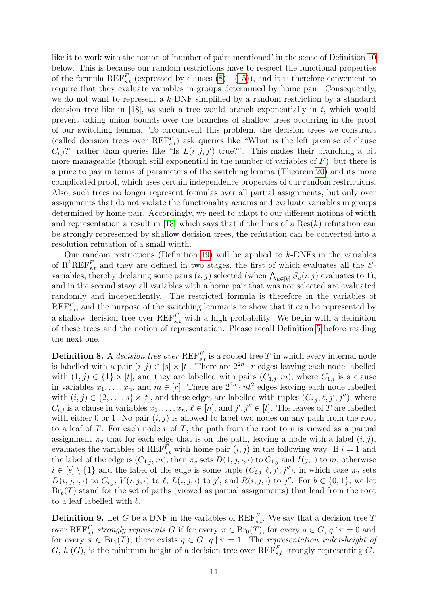like it to work with the notion of 'number of pairs mentioned' in the sense of Definition [10](#page-11-0) below. This is because our random restrictions have to respect the functional properties of the formula  $\text{REF}_{s,t}^F$  (expressed by clauses [\(8\)](#page-5-1) - [\(15\)](#page-5-0)), and it is therefore convenient to require that they evaluate variables in groups determined by home pair. Consequently, we do not want to represent a k-DNF simplified by a random restriction by a standard decision tree like in [\[18\]](#page--1-4), as such a tree would branch exponentially in  $t$ , which would prevent taking union bounds over the branches of shallow trees occurring in the proof of our switching lemma. To circumvent this problem, the decision trees we construct (called decision trees over  $\text{REF}_{s,t}^F$ ) ask queries like "What is the left premise of clause  $C_{i,j}$ ?" rather than queries like "Is  $L(i, j, j')$  true?". This makes their branching a bit more manageable (though still exponential in the number of variables of  $F$ ), but there is a price to pay in terms of parameters of the switching lemma (Theorem [20\)](#page-14-0) and its more complicated proof, which uses certain independence properties of our random restrictions. Also, such trees no longer represent formulas over all partial assignments, but only over assignments that do not violate the functionality axioms and evaluate variables in groups determined by home pair. Accordingly, we need to adapt to our different notions of width and representation a result in [\[18\]](#page--1-4) which says that if the lines of a  $\text{Res}(k)$  refutation can be strongly represented by shallow decision trees, the refutation can be converted into a resolution refutation of a small width.

Our random restrictions (Definition [19\)](#page-13-0) will be applied to  $k$ -DNFs in the variables of  $R^{k}REF_{s,t}^{F}$  and they are defined in two stages, the first of which evaluates all the Svariables, thereby declaring some pairs  $(i, j)$  selected (when  $\bigwedge_{u \in [k]} S_u(i, j)$  evaluates to 1), and in the second stage all variables with a home pair that was not selected are evaluated randomly and independently. The restricted formula is therefore in the variables of  $\operatorname{REF}_{s,t}^F$ , and the purpose of the switching lemma is to show that it can be represented by a shallow decision tree over  $\text{REF}_{s,t}^F$  with a high probability. We begin with a definition of these trees and the notion of representation. Please recall Definition [5](#page-5-2) before reading the next one.

<span id="page-10-0"></span>**Definition 8.** A decision tree over  $\text{REF}_{s,t}^F$  is a rooted tree T in which every internal node is labelled with a pair  $(i, j) \in [s] \times [t]$ . There are  $2^{2n} \cdot r$  edges leaving each node labelled with  $(1, j) \in \{1\} \times [t]$ , and they are labelled with pairs  $(C_{1,i}, m)$ , where  $C_{1,i}$  is a clause in variables  $x_1, \ldots, x_n$ , and  $m \in [r]$ . There are  $2^{2n} \cdot nt^2$  edges leaving each node labelled with  $(i, j) \in \{2, ..., s\} \times [t]$ , and these edges are labelled with tuples  $(C_{i,j}, \ell, j', j'')$ , where  $C_{i,j}$  is a clause in variables  $x_1, \ldots, x_n, \ell \in [n]$ , and  $j', j'' \in [t]$ . The leaves of T are labelled with either 0 or 1. No pair  $(i, j)$  is allowed to label two nodes on any path from the root to a leaf of  $T$ . For each node  $v$  of  $T$ , the path from the root to  $v$  is viewed as a partial assignment  $\pi_v$  that for each edge that is on the path, leaving a node with a label  $(i, j)$ , evaluates the variables of  $\text{REF}_{s,t}^F$  with home pair  $(i, j)$  in the following way: If  $i = 1$  and the label of the edge is  $(C_{1,j}, m)$ , then  $\pi_v$  sets  $D(1, j, \cdot, \cdot)$  to  $C_{1,j}$  and  $I(j, \cdot)$  to m; otherwise  $i \in [s] \setminus \{1\}$  and the label of the edge is some tuple  $(C_{i,j}, \ell, j', j'')$ , in which case  $\pi_v$  sets  $D(i, j, \cdot, \cdot)$  to  $C_{i,j}$ ,  $V(i, j, \cdot)$  to  $\ell$ ,  $L(i, j, \cdot)$  to j', and  $R(i, j, \cdot)$  to j''. For  $b \in \{0, 1\}$ , we let  $Br_b(T)$  stand for the set of paths (viewed as partial assignments) that lead from the root to a leaf labelled with b.

**Definition 9.** Let G be a DNF in the variables of  $\text{REF}_{s,t}^F$ . We say that a decision tree T over  $\operatorname{REF}_{s,t}^F$  strongly represents G if for every  $\pi \in \operatorname{Br}_0(T)$ , for every  $q \in G$ ,  $q \nmid \pi = 0$  and for every  $\pi \in \text{Br}_1(T)$ , there exists  $q \in G$ ,  $q \upharpoonright \pi = 1$ . The representation index-height of G,  $h_i(G)$ , is the minimum height of a decision tree over  $\text{REF}_{s,t}^F$  strongly representing G.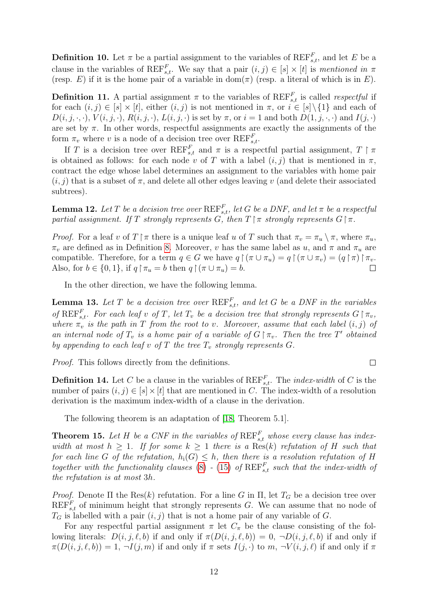<span id="page-11-0"></span>**Definition 10.** Let  $\pi$  be a partial assignment to the variables of  $\text{REF}_{s,t}^F$ , and let E be a clause in the variables of  $REF_{s,t}^F$ . We say that a pair  $(i, j) \in [s] \times [t]$  is mentioned in  $\pi$ (resp. E) if it is the home pair of a variable in dom( $\pi$ ) (resp. a literal of which is in E).

**Definition 11.** A partial assignment  $\pi$  to the variables of  $\text{REF}_{s,t}^F$  is called *respectful* if for each  $(i, j) \in [s] \times [t]$ , either  $(i, j)$  is not mentioned in  $\pi$ , or  $i \in [s] \setminus \{1\}$  and each of  $D(i, j, \cdot, \cdot), V(i, j, \cdot), R(i, j, \cdot), L(i, j, \cdot)$  is set by  $\pi$ , or  $i = 1$  and both  $D(1, j, \cdot, \cdot)$  and  $I(j, \cdot)$ are set by  $\pi$ . In other words, respectful assignments are exactly the assignments of the form  $\pi_v$  where v is a node of a decision tree over  $\text{REF}_{s,t}^F$ .

If T is a decision tree over  $\text{REF}_{s,t}^F$  and  $\pi$  is a respectful partial assignment,  $T \upharpoonright \pi$ is obtained as follows: for each node v of T with a label  $(i, j)$  that is mentioned in  $\pi$ , contract the edge whose label determines an assignment to the variables with home pair  $(i, j)$  that is a subset of  $\pi$ , and delete all other edges leaving v (and delete their associated subtrees).

<span id="page-11-3"></span>**Lemma 12.** Let T be a decision tree over  $\text{REF}_{s,t}^{F}$ , let G be a DNF, and let  $\pi$  be a respectful partial assignment. If T strongly represents G, then  $T \upharpoonright \pi$  strongly represents  $G \upharpoonright \pi$ .

*Proof.* For a leaf v of  $T \upharpoonright \pi$  there is a unique leaf u of T such that  $\pi_v = \pi_u \setminus \pi$ , where  $\pi_u$ ,  $\pi_v$  are defined as in Definition [8.](#page-10-0) Moreover, v has the same label as u, and  $\pi$  and  $\pi_u$  are compatible. Therefore, for a term  $q \in G$  we have  $q \upharpoonright (\pi \cup \pi_u) = q \upharpoonright (\pi \cup \pi_v) = (q \upharpoonright \pi) \upharpoonright \pi_v$ . Also, for  $b \in \{0, 1\}$ , if  $q \upharpoonright \pi_u = b$  then  $q \upharpoonright (\pi \cup \pi_u) = b$ .

In the other direction, we have the following lemma.

<span id="page-11-1"></span>**Lemma 13.** Let T be a decision tree over  $\text{REF}_{s,t}^F$ , and let G be a DNF in the variables of REF<sub>s,t</sub>. For each leaf v of T, let  $T_v$  be a decision tree that strongly represents  $G \upharpoonright \pi_v$ , where  $\pi_v$  is the path in T from the root to v. Moreover, assume that each label  $(i, j)$  of an internal node of  $T_v$  is a home pair of a variable of  $G \upharpoonright \pi_v$ . Then the tree T' obtained by appending to each leaf v of T the tree  $T_v$  strongly represents G.

Proof. This follows directly from the definitions.

**Definition 14.** Let C be a clause in the variables of  $\text{REF}_{s,t}^F$ . The *index-width* of C is the number of pairs  $(i, j) \in [s] \times [t]$  that are mentioned in C. The index-width of a resolution derivation is the maximum index-width of a clause in the derivation.

 $\Box$ 

The following theorem is an adaptation of [\[18,](#page--1-4) Theorem 5.1].

<span id="page-11-2"></span>**Theorem 15.** Let H be a CNF in the variables of  $\text{REF}_{s,t}^F$  whose every clause has indexwidth at most  $h \geq 1$ . If for some  $k \geq 1$  there is a Res(k) refutation of H such that for each line G of the refutation,  $h_i(G) \leq h$ , then there is a resolution refutation of H together with the functionality clauses [\(8\)](#page-5-1) - [\(15\)](#page-5-0) of  $\text{REF}_{s,t}^F$  such that the index-width of the refutation is at most 3h.

*Proof.* Denote Π the Res(k) refutation. For a line G in  $\Pi$ , let  $T_G$  be a decision tree over  $\operatorname{REF}_{s,t}^F$  of minimum height that strongly represents G. We can assume that no node of  $T_G$  is labelled with a pair  $(i, j)$  that is not a home pair of any variable of G.

For any respectful partial assignment  $\pi$  let  $C_{\pi}$  be the clause consisting of the following literals:  $D(i, j, \ell, b)$  if and only if  $\pi(D(i, j, \ell, b)) = 0, \neg D(i, j, \ell, b)$  if and only if  $\pi(D(i, j, \ell, b)) = 1$ ,  $\neg I(j, m)$  if and only if  $\pi$  sets  $I(j, \cdot)$  to  $m$ ,  $\neg V(i, j, \ell)$  if and only if  $\pi$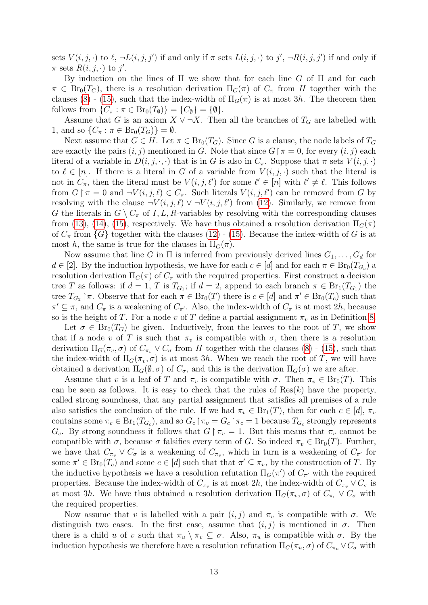sets  $V(i, j, \cdot)$  to  $\ell$ ,  $\neg L(i, j, j')$  if and only if  $\pi$  sets  $L(i, j, \cdot)$  to  $j'$ ,  $\neg R(i, j, j')$  if and only if  $\pi$  sets  $R(i, j, \cdot)$  to j'.

By induction on the lines of  $\Pi$  we show that for each line G of  $\Pi$  and for each  $\pi \in Br_0(T_G)$ , there is a resolution derivation  $\Pi_G(\pi)$  of  $C_{\pi}$  from H together with the clauses [\(8\)](#page-5-1) - [\(15\)](#page-5-0), such that the index-width of  $\Pi_G(\pi)$  is at most 3h. The theorem then follows from  $\{C_\pi : \pi \in \text{Br}_0(T_\emptyset)\} = \{C_\emptyset\} = \{\emptyset\}.$ 

Assume that G is an axiom  $X \vee \neg X$ . Then all the branches of  $T_G$  are labelled with 1, and so  $\{C_\pi : \pi \in \text{Br}_0(T_G)\} = \emptyset$ .

Next assume that  $G \in H$ . Let  $\pi \in \text{Br}_0(T_G)$ . Since G is a clause, the node labels of  $T_G$ are exactly the pairs  $(i, j)$  mentioned in G. Note that since  $G \upharpoonright \pi = 0$ , for every  $(i, j)$  each literal of a variable in  $D(i, j, \cdot, \cdot)$  that is in G is also in  $C_{\pi}$ . Suppose that  $\pi$  sets  $V(i, j, \cdot)$ to  $\ell \in [n]$ . If there is a literal in G of a variable from  $V(i, j, \cdot)$  such that the literal is not in  $C_{\pi}$ , then the literal must be  $V(i, j, \ell')$  for some  $\ell' \in [n]$  with  $\ell' \neq \ell$ . This follows from  $G \upharpoonright \pi = 0$  and  $\neg V(i, j, \ell) \in C_{\pi}$ . Such literals  $V(i, j, \ell')$  can be removed from G by resolving with the clause  $\neg V(i, j, \ell) \vee \neg V(i, j, \ell')$  from [\(12\)](#page-5-3). Similarly, we remove from G the literals in  $G \setminus C_{\pi}$  of I, L, R-variables by resolving with the corresponding clauses from [\(13\)](#page-5-4), [\(14\)](#page-5-5), [\(15\)](#page-5-0), respectively. We have thus obtained a resolution derivation  $\Pi_G(\pi)$ of  $C_{\pi}$  from  $\{G\}$  together with the clauses [\(12\)](#page-5-3) - [\(15\)](#page-5-0). Because the index-width of G is at most h, the same is true for the clauses in  $\Pi_G(\pi)$ .

Now assume that line G in  $\Pi$  is inferred from previously derived lines  $G_1, \ldots, G_d$  for  $d \in [2]$ . By the induction hypothesis, we have for each  $c \in [d]$  and for each  $\pi \in \text{Br}_0(T_{G_c})$  a resolution derivation  $\Pi_G(\pi)$  of  $C_\pi$  with the required properties. First construct a decision tree T as follows: if  $d = 1$ , T is  $T_{G_1}$ ; if  $d = 2$ , append to each branch  $\pi \in \text{Br}_1(T_{G_1})$  the tree  $T_{G_2} \upharpoonright \pi$ . Observe that for each  $\pi \in \text{Br}_0(T)$  there is  $c \in [d]$  and  $\pi' \in \text{Br}_0(T_c)$  such that  $\pi' \subseteq \pi$ , and  $C_{\pi}$  is a weakening of  $C_{\pi'}$ . Also, the index-width of  $C_{\pi}$  is at most 2h, because so is the height of T. For a node v of T define a partial assignment  $\pi_v$  as in Definition [8.](#page-10-0)

Let  $\sigma \in Br_0(T_G)$  be given. Inductively, from the leaves to the root of T, we show that if a node v of T is such that  $\pi_v$  is compatible with  $\sigma$ , then there is a resolution derivation  $\Pi_G(\pi_v, \sigma)$  of  $C_{\pi_v} \vee C_{\sigma}$  from H together with the clauses [\(8\)](#page-5-1) - [\(15\)](#page-5-0), such that the index-width of  $\Pi_G(\pi_v, \sigma)$  is at most 3h. When we reach the root of T, we will have obtained a derivation  $\Pi_G(\emptyset, \sigma)$  of  $C_{\sigma}$ , and this is the derivation  $\Pi_G(\sigma)$  we are after.

Assume that v is a leaf of T and  $\pi_v$  is compatible with  $\sigma$ . Then  $\pi_v \in Br_0(T)$ . This can be seen as follows. It is easy to check that the rules of  $Res(k)$  have the property, called strong soundness, that any partial assignment that satisfies all premises of a rule also satisfies the conclusion of the rule. If we had  $\pi_v \in \text{Br}_1(T)$ , then for each  $c \in [d], \pi_v$ contains some  $\pi_c \in Br_1(T_{G_c})$ , and so  $G_c \upharpoonright \pi_v = G_c \upharpoonright \pi_c = 1$  because  $T_{G_c}$  strongly represents  $G_c$ . By strong soundness it follows that  $G \upharpoonright \pi_v = 1$ . But this means that  $\pi_v$  cannot be compatible with  $\sigma$ , because  $\sigma$  falsifies every term of G. So indeed  $\pi_v \in Br_0(T)$ . Further, we have that  $C_{\pi_v} \vee C_{\sigma}$  is a weakening of  $C_{\pi_v}$ , which in turn is a weakening of  $C_{\pi'}$  for some  $\pi' \in Br_0(T_c)$  and some  $c \in [d]$  such that that  $\pi' \subseteq \pi_v$ , by the construction of T. By the inductive hypothesis we have a resolution refutation  $\Pi_G(\pi')$  of  $C_{\pi'}$  with the required properties. Because the index-width of  $C_{\pi_v}$  is at most 2h, the index-width of  $C_{\pi_v} \vee C_{\sigma}$  is at most 3h. We have thus obtained a resolution derivation  $\Pi_G(\pi_v, \sigma)$  of  $C_{\pi_v} \vee C_{\sigma}$  with the required properties.

Now assume that v is labelled with a pair  $(i, j)$  and  $\pi_v$  is compatible with  $\sigma$ . We distinguish two cases. In the first case, assume that  $(i, j)$  is mentioned in  $\sigma$ . Then there is a child u of v such that  $\pi_u \setminus \pi_v \subseteq \sigma$ . Also,  $\pi_u$  is compatible with  $\sigma$ . By the induction hypothesis we therefore have a resolution refutation  $\Pi_G(\pi_u, \sigma)$  of  $C_{\pi_u} \vee C_{\sigma}$  with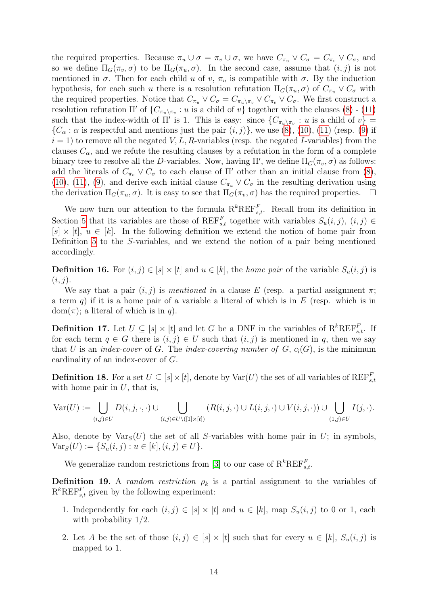the required properties. Because  $\pi_u \cup \sigma = \pi_v \cup \sigma$ , we have  $C_{\pi_u} \vee C_{\sigma} = C_{\pi_v} \vee C_{\sigma}$ , and so we define  $\Pi_G(\pi_v, \sigma)$  to be  $\Pi_G(\pi_u, \sigma)$ . In the second case, assume that  $(i, j)$  is not mentioned in  $\sigma$ . Then for each child u of v,  $\pi_u$  is compatible with  $\sigma$ . By the induction hypothesis, for each such u there is a resolution refutation  $\Pi_G(\pi_u, \sigma)$  of  $C_{\pi_u} \vee C_{\sigma}$  with the required properties. Notice that  $C_{\pi_u} \vee C_{\sigma} = C_{\pi_u \setminus \pi_v} \vee C_{\pi_v} \vee C_{\sigma}$ . We first construct a resolution refutation  $\Pi'$  of  $\{C_{\pi_u\setminus\pi_v}: u$  is a child of  $v\}$  together with the clauses [\(8\)](#page-5-1) - [\(11\)](#page-5-6) such that the index-width of  $\Pi'$  is 1. This is easy: since  $\{C_{\pi_u\setminus\pi_v}: u$  is a child of  $v\}$  ${C_\alpha : \alpha$  is respectful and mentions just the pair  $(i, j)$ , we use [\(8\)](#page-5-1), [\(10\)](#page-5-7), [\(11\)](#page-5-6) (resp. [\(9\)](#page-5-8) if  $i = 1$ ) to remove all the negated V, L, R-variables (resp. the negated I-variables) from the clauses  $C_{\alpha}$ , and we refute the resulting clauses by a refutation in the form of a complete binary tree to resolve all the D-variables. Now, having  $\Pi'$ , we define  $\Pi_G(\pi_v, \sigma)$  as follows: add the literals of  $C_{\pi_v} \vee C_{\sigma}$  to each clause of  $\Pi'$  other than an initial clause from [\(8\)](#page-5-1), [\(10\)](#page-5-7), [\(11\)](#page-5-6), [\(9\)](#page-5-8), and derive each initial clause  $C_{\pi_u} \vee C_{\sigma}$  in the resulting derivation using the derivation  $\Pi_G(\pi_u, \sigma)$ . It is easy to see that  $\Pi_G(\pi_v, \sigma)$  has the required properties.  $\Box$ 

We now turn our attention to the formula  $\mathbf{R}^k \text{REF}_{s,t}^F$ . Recall from its definition in Section [5](#page-7-11) that its variables are those of  $\text{REF}_{s,t}^F$  together with variables  $S_u(i,j), (i,j) \in$  $[s] \times [t], u \in [k]$ . In the following definition we extend the notion of home pair from Definition [5](#page-5-2) to the S-variables, and we extend the notion of a pair being mentioned accordingly.

**Definition 16.** For  $(i, j) \in [s] \times [t]$  and  $u \in [k]$ , the *home pair* of the variable  $S_u(i, j)$  is  $(i, j).$ 

We say that a pair  $(i, j)$  is mentioned in a clause E (resp. a partial assignment  $\pi$ ; a term q) if it is a home pair of a variable a literal of which is in  $E$  (resp. which is in dom( $\pi$ ); a literal of which is in q).

**Definition 17.** Let  $U \subseteq [s] \times [t]$  and let G be a DNF in the variables of  $\mathbb{R}^k \text{REF}_{s,t}^F$ . If for each term  $q \in G$  there is  $(i, j) \in U$  such that  $(i, j)$  is mentioned in q, then we say that U is an *index-cover* of G. The *index-covering number of* G,  $c_i(G)$ , is the minimum cardinality of an index-cover of G.

**Definition 18.** For a set  $U \subseteq [s] \times [t]$ , denote by  $\text{Var}(U)$  the set of all variables of  $\text{REF}_{s,t}^F$ with home pair in  $U$ , that is,

$$
\operatorname{Var}(U) := \bigcup_{(i,j)\in U} D(i,j,\cdot,\cdot) \cup \bigcup_{(i,j)\in U\setminus([1]\times[t])} (R(i,j,\cdot) \cup L(i,j,\cdot) \cup V(i,j,\cdot)) \cup \bigcup_{(1,j)\in U} I(j,\cdot).
$$

Also, denote by  $\text{Var}_S(U)$  the set of all S-variables with home pair in U; in symbols,  $Var_S(U) := \{S_u(i, j) : u \in [k], (i, j) \in U\}.$ 

We generalize random restrictions from [\[3\]](#page-21-1) to our case of  $\mathbb{R}^k \text{REF}_{s,t}^F$ .

<span id="page-13-0"></span>**Definition 19.** A *random restriction*  $\rho_k$  is a partial assignment to the variables of  $R^k R E F_{s,t}^F$  given by the following experiment:

- 1. Independently for each  $(i, j) \in [s] \times [t]$  and  $u \in [k]$ , map  $S_u(i, j)$  to 0 or 1, each with probability 1/2.
- 2. Let A be the set of those  $(i, j) \in [s] \times [t]$  such that for every  $u \in [k]$ ,  $S_u(i, j)$  is mapped to 1.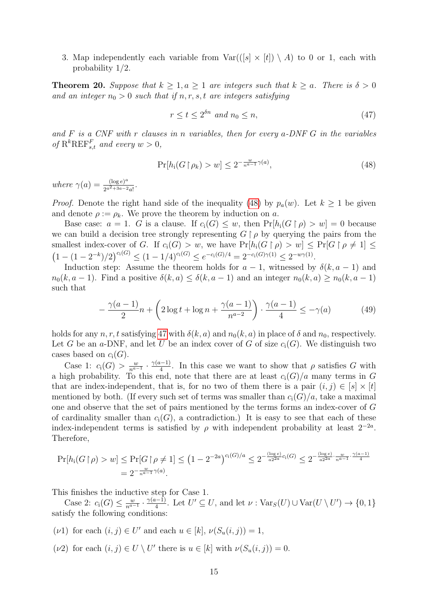3. Map independently each variable from  $Var((s \times [t]) \setminus A)$  to 0 or 1, each with probability 1/2.

<span id="page-14-0"></span>**Theorem 20.** Suppose that  $k \geq 1, a \geq 1$  are integers such that  $k \geq a$ . There is  $\delta > 0$ and an integer  $n_0 > 0$  such that if  $n, r, s, t$  are integers satisfying

<span id="page-14-2"></span>
$$
r \le t \le 2^{\delta n} \text{ and } n_0 \le n,\tag{47}
$$

and  $F$  is a CNF with  $r$  clauses in  $n$  variables, then for every a-DNF  $G$  in the variables of  $\mathbf{R}^k \text{REF}_{s,t}^F$  and every  $w > 0$ ,

<span id="page-14-1"></span>
$$
\Pr[h_{i}(G \upharpoonright \rho_{k}) > w] \le 2^{-\frac{w}{n^{a-1}}\gamma(a)},\tag{48}
$$

where  $\gamma(a) = \frac{(\log e)^a}{2a^2 + 3a - 2}$  $\frac{(\log e)^{\alpha}}{2^{a^2+3a-2}a!}.$ 

*Proof.* Denote the right hand side of the inequality [\(48\)](#page-14-1) by  $p_a(w)$ . Let  $k \ge 1$  be given and denote  $\rho := \rho_k$ . We prove the theorem by induction on a.

Base case:  $a = 1$ . G is a clause. If  $c_i(G) \leq w$ , then  $Pr[h_i(G \restriction \rho) > w] = 0$  because we can build a decision tree strongly representing  $G \upharpoonright \rho$  by querying the pairs from the smallest index-cover of G. If  $c_i(G) > w$ , we have  $Pr[h_i(G \mid \rho) > w] \leq Pr[G \mid \rho \neq 1] \leq$  $(1 - (1 - 2^{-k})/2)^{c_i(G)} \le (1 - 1/4)^{c_i(G)} \le e^{-c_i(G)/4} = 2^{-c_i(G)\gamma(1)} \le 2^{-w\gamma(1)}.$ 

Induction step: Assume the theorem holds for  $a-1$ , witnessed by  $\delta(k, a-1)$  and  $n_0(k, a-1)$ . Find a positive  $\delta(k, a) \leq \delta(k, a-1)$  and an integer  $n_0(k, a) \geq n_0(k, a-1)$ such that

<span id="page-14-5"></span>
$$
-\frac{\gamma(a-1)}{2}n + \left(2\log t + \log n + \frac{\gamma(a-1)}{n^{a-2}}\right) \cdot \frac{\gamma(a-1)}{4} \le -\gamma(a) \tag{49}
$$

holds for any n, r, t satisfying [47](#page-14-2) with  $\delta(k, a)$  and  $n_0(k, a)$  in place of  $\delta$  and  $n_0$ , respectively. Let G be an a-DNF, and let U be an index cover of G of size  $c_i(G)$ . We distinguish two cases based on  $c_i(G)$ .

Case 1:  $c_i(G) > \frac{w}{n^{a-1}}$  $\frac{w}{n^{a-1}} \cdot \frac{\gamma(a-1)}{4}$  $\frac{a-1}{4}$ . In this case we want to show that  $\rho$  satisfies G with a high probability. To this end, note that there are at least  $c_i(G)/a$  many terms in G that are index-independent, that is, for no two of them there is a pair  $(i, j) \in [s] \times [t]$ mentioned by both. (If every such set of terms was smaller than  $c_i(G)/a$ , take a maximal one and observe that the set of pairs mentioned by the terms forms an index-cover of G of cardinality smaller than  $c_i(G)$ , a contradiction.) It is easy to see that each of these index-independent terms is satisfied by  $\rho$  with independent probability at least  $2^{-2a}$ . Therefore,

$$
\Pr[h_{i}(G \upharpoonright \rho) > w] \le \Pr[G \upharpoonright \rho \neq 1] \le (1 - 2^{-2a})^{c_{i}(G)/a} \le 2^{-\frac{(\log e)}{a2^{2a}}c_{i}(G)} \le 2^{-\frac{(\log e)}{a2^{2a}} \cdot \frac{w}{n^{a-1}} \cdot \frac{\gamma(a-1)}{4}} = 2^{-\frac{w}{a^2 - 1}\gamma(a)}.
$$

This finishes the inductive step for Case 1.

Case 2:  $c_i(G) \leq \frac{w}{n^{a-1}}$  $\frac{w}{n^{a-1}}\cdot\frac{\gamma(a-1)}{4}$  $\frac{u-1}{4}$ . Let  $U' \subseteq U$ , and let  $\nu : \text{Var}_S(U) \cup \text{Var}(U \setminus U') \to \{0, 1\}$ satisfy the following conditions:

<span id="page-14-3"></span> $(\nu 1)$  for each  $(i, j) \in U'$  and each  $u \in [k], \nu(S_u(i, j)) = 1$ ,

<span id="page-14-4"></span>(*v*2) for each  $(i, j) \in U \setminus U'$  there is  $u \in [k]$  with  $\nu(S_u(i, j)) = 0$ .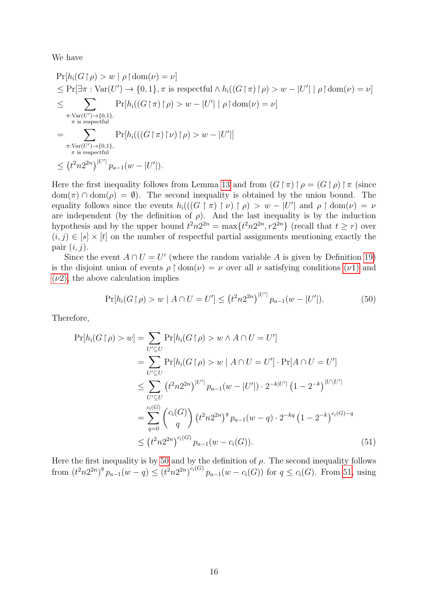We have

$$
\Pr[h_{i}(G \upharpoonright \rho) > w \mid \rho \upharpoonright \text{dom}(\nu) = \nu]
$$
\n
$$
\leq \Pr[\exists \pi : \text{Var}(U') \to \{0, 1\}, \pi \text{ is respectful } \land h_{i}((G \upharpoonright \pi) \upharpoonright \rho) > w - |U'| \mid \rho \upharpoonright \text{dom}(\nu) = \nu]
$$
\n
$$
\leq \sum_{\substack{\pi : \text{Var}(U') \to \{0, 1\}, \\ \pi \text{ is respectful} \\ \pi \text{ is respectful}}} \Pr[h_{i}((G \upharpoonright \pi) \upharpoonright \rho) > w - |U'| \mid \rho \upharpoonright \text{dom}(\nu) = \nu]
$$
\n
$$
= \sum_{\substack{\pi : \text{Var}(U') \to \{0, 1\}, \\ \pi \text{ is respectful} \\ \pi \text{ is respectful}}} \Pr[h_{i}(((G \upharpoonright \pi) \upharpoonright \nu) \upharpoonright \rho) > w - |U'|]
$$
\n
$$
\leq (t^{2}n2^{2n})^{|U'|} p_{a-1}(w - |U'|).
$$

Here the first inequality follows from Lemma [13](#page-11-1) and from  $(G \restriction \pi) \restriction \rho = (G \restriction \rho) \restriction \pi$  (since  $dom(\pi) \cap dom(\rho) = \emptyset$ . The second inequality is obtained by the union bound. The equality follows since the events  $h_i(((G \upharpoonright \pi) \upharpoonright \nu) \upharpoonright \rho) > w - |U'|$  and  $\rho \upharpoonright \text{dom}(\nu) = \nu$ are independent (by the definition of  $\rho$ ). And the last inequality is by the induction hypothesis and by the upper bound  $t^2n2^{2n} = \max\{t^2n2^{2n}, r2^{2n}\}\$  (recall that  $t \geq r$ ) over  $(i, j) \in [s] \times [t]$  on the number of respectful partial assignments mentioning exactly the pair  $(i, j)$ .

Since the event  $A \cap U = U'$  (where the random variable A is given by Definition [19\)](#page-13-0) is the disjoint union of events  $\rho \restriction \text{dom}(\nu) = \nu$  over all  $\nu$  satisfying conditions  $(\nu 1)$  $(\nu 1)$  and  $(\nu 2)$ , the above calculation implies

<span id="page-15-1"></span><span id="page-15-0"></span>
$$
\Pr[h_{i}(G\upharpoonright\rho) > w \mid A \cap U = U'] \le (t^2 n 2^{2n})^{|U'|} p_{a-1}(w - |U'|). \tag{50}
$$

Therefore,

$$
\Pr[h_{i}(G \upharpoonright \rho) > w] = \sum_{U' \subseteq U} \Pr[h_{i}(G \upharpoonright \rho) > w \land A \cap U = U']
$$
\n
$$
= \sum_{U' \subseteq U} \Pr[h_{i}(G \upharpoonright \rho) > w \mid A \cap U = U'] \cdot \Pr[A \cap U = U']
$$
\n
$$
\leq \sum_{U' \subseteq U} (t^{2} n 2^{2n})^{|U'|} p_{a-1}(w - |U'|) \cdot 2^{-k|U'|} (1 - 2^{-k})^{|U \setminus U'|}
$$
\n
$$
= \sum_{q=0}^{c_{i}(G)} {c_{i}(G)} \choose q} (t^{2} n 2^{2n})^{q} p_{a-1}(w - q) \cdot 2^{-kq} (1 - 2^{-k})^{c_{i}(G) - q}
$$
\n
$$
\leq (t^{2} n 2^{2n})^{c_{i}(G)} p_{a-1}(w - c_{i}(G)). \tag{51}
$$

Here the first inequality is by [50](#page-15-0) and by the definition of  $\rho$ . The second inequality follows from  $(t^2n2^{2n})^q p_{a-1}(w-q) \le (t^2n2^{2n})^{c_i(G)} p_{a-1}(w-c_i(G))$  for  $q \le c_i(G)$ . From [51,](#page-15-1) using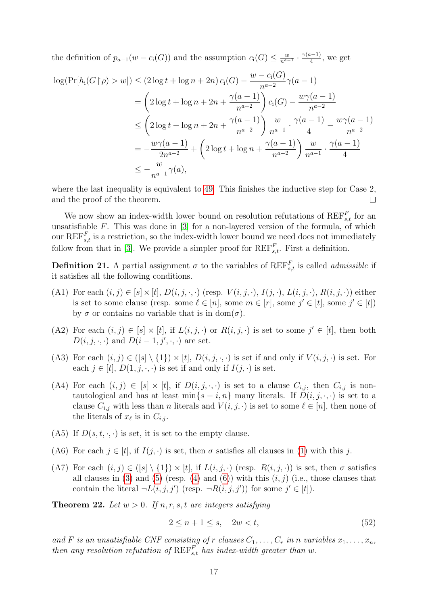the definition of  $p_{a-1}(w - c_i(G))$  and the assumption  $c_i(G) \leq \frac{w}{n^{a-i}}$  $\frac{w}{n^{a-1}} \cdot \frac{\gamma(a-1)}{4}$  $\frac{a-1}{4}$ , we get

$$
\log(\Pr[h_{i}(G \upharpoonright \rho) > w]) \le (2 \log t + \log n + 2n) c_{i}(G) - \frac{w - c_{i}(G)}{n^{a-2}} \gamma(a-1)
$$
  
=  $\left(2 \log t + \log n + 2n + \frac{\gamma(a-1)}{n^{a-2}}\right) c_{i}(G) - \frac{w\gamma(a-1)}{n^{a-2}}$   

$$
\le \left(2 \log t + \log n + 2n + \frac{\gamma(a-1)}{n^{a-2}}\right) \frac{w}{n^{a-1}} \cdot \frac{\gamma(a-1)}{4} - \frac{w\gamma(a-1)}{n^{a-2}}
$$
  
=  $-\frac{w\gamma(a-1)}{2n^{a-2}} + \left(2 \log t + \log n + \frac{\gamma(a-1)}{n^{a-2}}\right) \frac{w}{n^{a-1}} \cdot \frac{\gamma(a-1)}{4}$   

$$
\le -\frac{w}{n^{a-1}} \gamma(a),
$$

where the last inequality is equivalent to [49.](#page-14-5) This finishes the inductive step for Case 2, and the proof of the theorem.  $\Box$ 

We now show an index-width lower bound on resolution refutations of  $\text{REF}_{s,t}^F$  for an unsatisfiable  $F$ . This was done in [\[3\]](#page-21-1) for a non-layered version of the formula, of which our  $\text{REF}_{s,t}^F$  is a restriction, so the index-width lower bound we need does not immediately follow from that in [\[3\]](#page-21-1). We provide a simpler proof for  $\text{REF}_{s,t}^F$ . First a definition.

**Definition 21.** A partial assignment  $\sigma$  to the variables of  $\text{REF}_{s,t}^F$  is called *admissible* if it satisfies all the following conditions.

- <span id="page-16-0"></span>(A1) For each  $(i, j) \in [s] \times [t]$ ,  $D(i, j, \cdot, \cdot)$  (resp.  $V(i, j, \cdot), I(j, \cdot), L(i, j, \cdot), R(i, j, \cdot)$ ) either is set to some clause (resp. some  $\ell \in [n]$ , some  $m \in [r]$ , some  $j' \in [t]$ , some  $j' \in [t]$ ) by  $\sigma$  or contains no variable that is in dom( $\sigma$ ).
- <span id="page-16-1"></span>(A2) For each  $(i, j) \in [s] \times [t]$ , if  $L(i, j, \cdot)$  or  $R(i, j, \cdot)$  is set to some  $j' \in [t]$ , then both  $D(i, j, \cdot, \cdot)$  and  $D(i - 1, j', \cdot, \cdot)$  are set.
- <span id="page-16-2"></span>(A3) For each  $(i, j) \in (s] \setminus \{1\} \times [t], D(i, j, \cdot, \cdot)$  is set if and only if  $V(i, j, \cdot)$  is set. For each  $j \in [t]$ ,  $D(1, j, \cdot, \cdot)$  is set if and only if  $I(j, \cdot)$  is set.
- <span id="page-16-3"></span>(A4) For each  $(i, j) \in [s] \times [t]$ , if  $D(i, j, \cdot, \cdot)$  is set to a clause  $C_{i,j}$ , then  $C_{i,j}$  is nontautological and has at least min $\{s - i, n\}$  many literals. If  $D(i, j, \cdot, \cdot)$  is set to a clause  $C_{i,j}$  with less than n literals and  $V(i, j, \cdot)$  is set to some  $\ell \in [n]$ , then none of the literals of  $x_{\ell}$  is in  $C_{i,j}$ .
- (A5) If  $D(s, t, \cdot, \cdot)$  is set, it is set to the empty clause.
- (A6) For each  $j \in [t]$ , if  $I(j, \cdot)$  is set, then  $\sigma$  satisfies all clauses in [\(1\)](#page-4-1) with this j.
- (A7) For each  $(i, j) \in (s] \setminus \{1\} \times [t]$ , if  $L(i, j, \cdot)$  (resp.  $R(i, j, \cdot)$ ) is set, then  $\sigma$  satisfies all clauses in [\(3\)](#page-5-9) and [\(5\)](#page-5-10) (resp. [\(4\)](#page-5-11) and [\(6\)](#page-5-12)) with this  $(i, j)$  (i.e., those clauses that contain the literal  $\neg L(i, j, j')$  (resp.  $\neg R(i, j, j')$ ) for some  $j' \in [t]$ ).

<span id="page-16-5"></span>**Theorem 22.** Let  $w > 0$ . If  $n, r, s, t$  are integers satisfying

<span id="page-16-4"></span>
$$
2 \le n+1 \le s, \quad 2w < t,\tag{52}
$$

and F is an unsatisfiable CNF consisting of r clauses  $C_1, \ldots, C_r$  in n variables  $x_1, \ldots, x_n$ , then any resolution refutation of  $\text{REF}_{s,t}^F$  has index-width greater than w.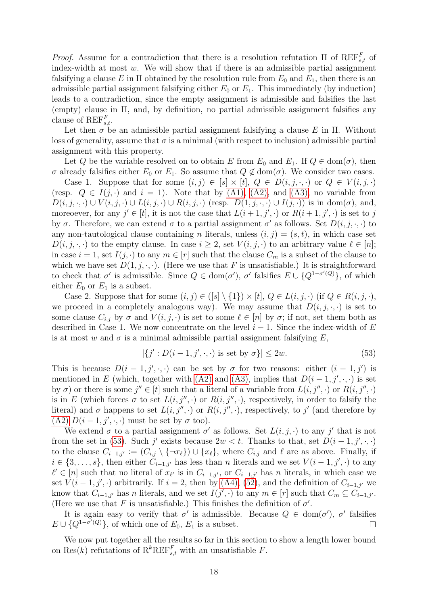*Proof.* Assume for a contradiction that there is a resolution refutation  $\Pi$  of  $\text{REF}_{s,t}^F$  of index-width at most  $w$ . We will show that if there is an admissible partial assignment falsifying a clause E in  $\Pi$  obtained by the resolution rule from  $E_0$  and  $E_1$ , then there is an admissible partial assignment falsifying either  $E_0$  or  $E_1$ . This immediately (by induction) leads to a contradiction, since the empty assignment is admissible and falsifies the last (empty) clause in Π, and, by definition, no partial admissible assignment falsifies any clause of  $\text{REF}_{s,t}^F$ .

Let then  $\sigma$  be an admissible partial assignment falsifying a clause E in  $\Pi$ . Without loss of generality, assume that  $\sigma$  is a minimal (with respect to inclusion) admissible partial assignment with this property.

Let Q be the variable resolved on to obtain E from  $E_0$  and  $E_1$ . If  $Q \in \text{dom}(\sigma)$ , then  $\sigma$  already falsifies either  $E_0$  or  $E_1$ . So assume that  $Q \notin \text{dom}(\sigma)$ . We consider two cases.

Case 1. Suppose that for some  $(i, j) \in [s] \times [t]$ ,  $Q \in D(i, j, \cdot, \cdot)$  or  $Q \in V(i, j, \cdot)$ (resp.  $Q \in I(j, \cdot)$  and  $i = 1$ ). Note that by [\(A1\),](#page-16-0) [\(A2\),](#page-16-1) and [\(A3\),](#page-16-2) no variable from  $D(i, j, \cdot, \cdot) \cup V(i, j, \cdot) \cup L(i, j, \cdot) \cup R(i, j, \cdot)$  (resp.  $D(1, j, \cdot, \cdot) \cup I(j, \cdot)$ ) is in dom( $\sigma$ ), and, moreoever, for any  $j' \in [t]$ , it is not the case that  $L(i+1, j', \cdot)$  or  $R(i+1, j', \cdot)$  is set to j by  $\sigma$ . Therefore, we can extend  $\sigma$  to a partial assignment  $\sigma'$  as follows. Set  $D(i, j, \cdot, \cdot)$  to any non-tautological clause containing n literals, unless  $(i, j) = (s, t)$ , in which case set  $D(i, j, \cdot, \cdot)$  to the empty clause. In case  $i \geq 2$ , set  $V(i, j, \cdot)$  to an arbitrary value  $\ell \in [n];$ in case  $i = 1$ , set  $I(j, \cdot)$  to any  $m \in [r]$  such that the clause  $C_m$  is a subset of the clause to which we have set  $D(1, j, \cdot, \cdot)$ . (Here we use that F is unsatisfiable.) It is straightforward to check that  $\sigma'$  is admissible. Since  $Q \in \text{dom}(\sigma')$ ,  $\sigma'$  falsifies  $E \cup \{Q^{1-\sigma'(Q)}\}$ , of which either  $E_0$  or  $E_1$  is a subset.

Case 2. Suppose that for some  $(i, j) \in (s] \setminus \{1\} \times [t], Q \in L(i, j, \cdot)$  (if  $Q \in R(i, j, \cdot)$ , we proceed in a completely analogous way). We may assume that  $D(i, j, \cdot, \cdot)$  is set to some clause  $C_{i,j}$  by  $\sigma$  and  $V(i, j, \cdot)$  is set to some  $\ell \in [n]$  by  $\sigma$ ; if not, set them both as described in Case 1. We now concentrate on the level  $i - 1$ . Since the index-width of E is at most w and  $\sigma$  is a minimal admissible partial assignment falsifying E,

<span id="page-17-0"></span>
$$
|\{j': D(i-1, j', \cdot, \cdot) \text{ is set by } \sigma\}| \le 2w. \tag{53}
$$

This is because  $D(i-1,j',\cdot,\cdot)$  can be set by  $\sigma$  for two reasons: either  $(i-1,j')$  is mentioned in E (which, together with [\(A2\)](#page-16-1) and [\(A3\),](#page-16-2) implies that  $D(i-1, j', \cdot, \cdot)$  is set by  $\sigma$ ) or there is some  $j'' \in [t]$  such that a literal of a variable from  $L(i, j'', \cdot)$  or  $R(i, j'', \cdot)$ is in E (which forces  $\sigma$  to set  $L(i, j'', \cdot)$  or  $R(i, j'', \cdot)$ , respectively, in order to falsify the literal) and  $\sigma$  happens to set  $L(i, j'', \cdot)$  or  $R(i, j'', \cdot)$ , respectively, to j' (and therefore by [\(A2\)](#page-16-1)  $D(i-1, j', \cdot, \cdot)$  must be set by  $\sigma$  too).

We extend  $\sigma$  to a partial assignment  $\sigma'$  as follows. Set  $L(i, j, \cdot)$  to any j' that is not from the set in [\(53\)](#page-17-0). Such j' exists because  $2w < t$ . Thanks to that, set  $D(i-1, j', \cdot, \cdot)$ to the clause  $C_{i-1,j'} := (C_{i,j} \setminus \{\neg x_\ell\}) \cup \{x_\ell\}$ , where  $C_{i,j}$  and  $\ell$  are as above. Finally, if  $i \in \{3, \ldots, s\}$ , then either  $C_{i-1,j'}$  has less than n literals and we set  $V(i-1, j', \cdot)$  to any  $\ell' \in [n]$  such that no literal of  $x_{\ell'}$  is in  $C_{i-1,j'}$ , or  $C_{i-1,j'}$  has n literals, in which case we set  $V(i-1, j', \cdot)$  arbitrarily. If  $i = 2$ , then by [\(A4\),](#page-16-3) [\(52\)](#page-16-4), and the definition of  $C_{i-1,j'}$  we know that  $C_{i-1,j'}$  has n literals, and we set  $I(j', \cdot)$  to any  $m \in [r]$  such that  $C_m \subseteq C_{i-1,j'}$ . (Here we use that F is unsatisfiable.) This finishes the definition of  $\sigma'$ .

It is again easy to verify that  $\sigma'$  is admissible. Because  $Q \in \text{dom}(\sigma')$ ,  $\sigma'$  falsifies  $E \cup \{Q^{1-\sigma'(Q)}\}\$ , of which one of  $E_0$ ,  $E_1$  is a subset.  $\Box$ 

We now put together all the results so far in this section to show a length lower bound on Res $(k)$  refutations of  $\mathcal{R}^k \text{REF}_{s,t}^F$  with an unsatisfiable F.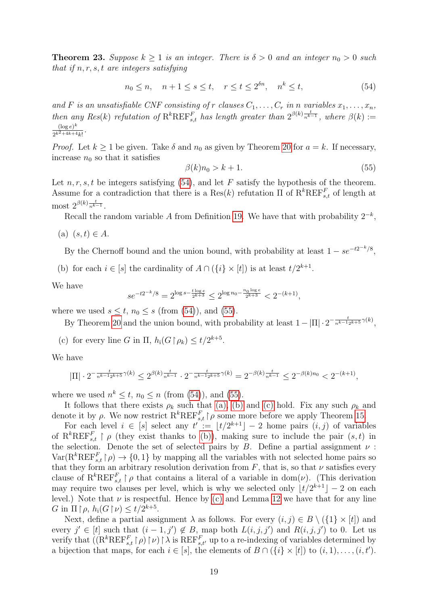<span id="page-18-0"></span>**Theorem 23.** Suppose  $k \ge 1$  is an integer. There is  $\delta > 0$  and an integer  $n_0 > 0$  such that if  $n, r, s, t$  are integers satisfying

<span id="page-18-1"></span>
$$
n_0 \le n, \quad n+1 \le s \le t, \quad r \le t \le 2^{\delta n}, \quad n^k \le t,\tag{54}
$$

and F is an unsatisfiable CNF consisting of r clauses  $C_1, \ldots, C_r$  in n variables  $x_1, \ldots, x_n$ , then any Res(k) refutation of  $R^k$ REF $_{s,t}$  has length greater than  $2^{\beta(k)} \frac{t}{n^{k-1}}$ , where  $\beta(k)$  :=  $(\log e)^k$  $\frac{(\log e)^n}{2^{k^2+4k+4}k!}$ .

*Proof.* Let  $k \ge 1$  be given. Take  $\delta$  and  $n_0$  as given by Theorem [20](#page-14-0) for  $a = k$ . If necessary, increase  $n_0$  so that it satisfies

<span id="page-18-2"></span>
$$
\beta(k)n_0 > k+1. \tag{55}
$$

Let  $n, r, s, t$  be integers satisfying [\(54\)](#page-18-1), and let F satisfy the hypothesis of the theorem. Assume for a contradiction that there is a  $\text{Res}(k)$  refutation  $\Pi$  of  $\mathbb{R}^k \text{REF}_{s,t}^F$  of length at most  $2^{\beta(k)\frac{t}{n^{k-1}}}$ .

Recall the random variable A from Definition [19.](#page-13-0) We have that with probability  $2^{-k}$ ,

<span id="page-18-3"></span>(a) 
$$
(s,t) \in A
$$
.

By the Chernoff bound and the union bound, with probability at least  $1 - se^{-t2^{-k}/8}$ ,

<span id="page-18-4"></span>(b) for each  $i \in [s]$  the cardinality of  $A \cap (\{i\} \times [t])$  is at least  $t/2^{k+1}$ .

We have

$$
se^{-t2^{-k}/8} = 2^{\log s - \frac{t \log e}{2^{k+3}}} \le 2^{\log n_0 - \frac{n_0 \log e}{2^{k+3}}} < 2^{-(k+1)},
$$

where we used  $s \leq t$ ,  $n_0 \leq s$  (from [\(54\)](#page-18-1)), and [\(55\)](#page-18-2).

By Theorem [20](#page-14-0) and the union bound, with probability at least  $1 - |\Pi| \cdot 2^{-\frac{t}{n^{k-1}2^{k+5}}\gamma(k)}$ ,

<span id="page-18-5"></span>(c) for every line G in  $\Pi$ ,  $h_i(G \restriction \rho_k) \leq t/2^{k+5}$ .

We have

$$
|\Pi| \cdot 2^{-\frac{t}{n^{k-1}2^{k+5}}\gamma(k)} \le 2^{\beta(k)\frac{t}{n^{k-1}}}\cdot 2^{-\frac{t}{n^{k-1}2^{k+5}}\gamma(k)} = 2^{-\beta(k)\frac{t}{n^{k-1}}} \le 2^{-\beta(k)n_0} < 2^{-(k+1)},
$$

where we used  $n^k \leq t$ ,  $n_0 \leq n$  (from [\(54\)](#page-18-1)), and [\(55\)](#page-18-2).

It follows that there exists  $\rho_k$  such that [\(a\),](#page-18-3) [\(b\)](#page-18-4) and [\(c\)](#page-18-5) hold. Fix any such  $\rho_k$  and denote it by  $\rho$ . We now restrict  $\mathcal{R}^k \text{REF}_{s,t}^F\upharpoonright\rho$  some more before we apply Theorem [15.](#page-11-2)

For each level  $i \in [s]$  select any  $t' := \lfloor t/2^{k+1} \rfloor - 2$  home pairs  $(i, j)$  of variables of  $\mathbb{R}^k\text{REF}_{s,t}^F\upharpoonright\rho$  (they exist thanks to [\(b\)\)](#page-18-4), making sure to include the pair  $(s,t)$  in the selection. Denote the set of selected pairs by  $B$ . Define a partial assignment  $\nu$ :  $\text{Var}(\mathbb{R}^k \text{REF}_{s,t}^F \upharpoonright \rho) \to \{0,1\}$  by mapping all the variables with not selected home pairs so that they form an arbitrary resolution derivation from  $F$ , that is, so that  $\nu$  satisfies every clause of  $\mathbb{R}^k \text{REF}_{s,t}^F\upharpoonright \rho$  that contains a literal of a variable in dom( $\nu$ ). (This derivation may require two clauses per level, which is why we selected only  $\lfloor t/2^{k+1}\rfloor - 2$  on each level.) Note that  $\nu$  is respectful. Hence by [\(c\)](#page-18-5) and Lemma [12](#page-11-3) we have that for any line G in  $\Pi \restriction \rho$ ,  $h_i(G \restriction \nu) \leq t/2^{k+5}$ .

Next, define a partial assignment  $\lambda$  as follows. For every  $(i, j) \in B \setminus (\{1\} \times [t])$  and every  $j' \in [t]$  such that  $(i-1, j') \notin B$ , map both  $L(i, j, j')$  and  $R(i, j, j')$  to 0. Let us verify that  $((\mathbf{R}^k \mathbf{R} \mathbf{E} \mathbf{F}^F_{s,t} \mid \rho) \mid \nu) \mid \lambda \text{ is } \mathbf{R} \mathbf{E} \mathbf{F}^F_{s,t'}$  up to a re-indexing of variables determined by a bijection that maps, for each  $i \in [s]$ , the elements of  $B \cap (\{i\} \times [t])$  to  $(i, 1), \ldots, (i, t')$ .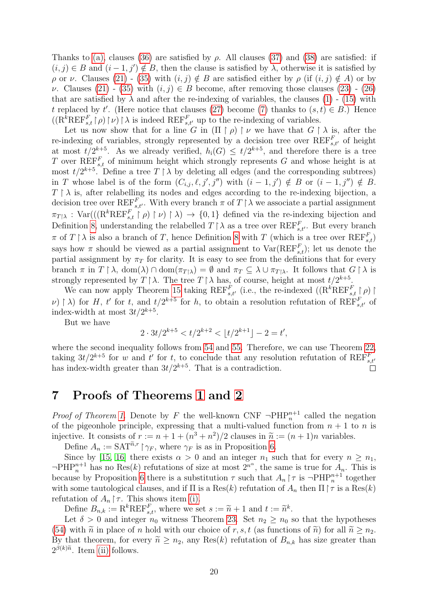Thanks to [\(a\),](#page-18-3) clauses [\(36\)](#page-8-1) are satisfied by  $\rho$ . All clauses [\(37\)](#page-8-2) and [\(38\)](#page-8-3) are satisfied: if  $(i, j) \in B$  and  $(i - 1, j') \notin B$ , then the clause is satisfied by  $\lambda$ , otherwise it is satisfied by ρ or ν. Clauses [\(21\)](#page-7-0) - [\(35\)](#page-8-0) with  $(i, j) \notin B$  are satisfied either by ρ (if  $(i, j) \notin A$ ) or by  $ν$ . Clauses [\(21\)](#page-7-0) - [\(35\)](#page-8-0) with  $(i, j) ∈ B$  become, after removing those clauses [\(23\)](#page-7-4) - [\(26\)](#page-7-7) that are satisfied by  $\lambda$  and after the re-indexing of variables, the clauses [\(1\)](#page-4-1) - [\(15\)](#page-5-0) with t replaced by t'. (Here notice that clauses [\(27\)](#page-7-1) become [\(7\)](#page-5-13) thanks to  $(s, t) \in B$ .) Hence  $((\mathbf{R}^k \mathbf{R} \mathbf{E} \mathbf{F}^F_{s,t} | \rho) | \nu) \wedge \mathbf{R}$  is indeed  $\mathbf{R} \mathbf{E} \mathbf{F}^F_{s,t'}$  up to the re-indexing of variables.

Let us now show that for a line G in  $(\Pi \upharpoonright \rho) \upharpoonright \nu$  we have that  $G \upharpoonright \lambda$  is, after the re-indexing of variables, strongly represented by a decision tree over  $\operatorname{REF}^F_{s,t'}$  of height at most  $t/2^{k+5}$ . As we already verified,  $h_i(G) \leq t/2^{k+5}$ , and therefore there is a tree T over  $\text{REF}_{s,t}^F$  of minimum height which strongly represents G and whose height is at most  $t/2^{k+5}$ . Define a tree  $T \upharpoonright \lambda$  by deleting all edges (and the corresponding subtrees) in T whose label is of the form  $(C_{i,j}, \ell, j', j'')$  with  $(i - 1, j') \notin B$  or  $(i - 1, j'') \notin B$ .  $T \upharpoonright \lambda$  is, after relabelling its nodes and edges according to the re-indexing bijection, a decision tree over  $\text{REF}_{s,t'}^F$ . With every branch  $\pi$  of  $T \upharpoonright \lambda$  we associate a partial assignment  $\pi_{T|\lambda}: \text{Var}(((\text{R}^k\text{REF}_{s,t}^F\upharpoonright\rho) \upharpoonright \nu) \upharpoonright \lambda) \rightarrow \{0,1\}$  defined via the re-indexing bijection and Definition [8,](#page-10-0) understanding the relabelled  $T \upharpoonright \lambda$  as a tree over  $\text{REF}_{s,t'}^F$ . But every branch  $\pi$  of  $T \upharpoonright \lambda$  is also a branch of T, hence Definition [8](#page-10-0) with T (which is a tree over  $\text{REF}_{s,t}^F$ ) says how  $\pi$  should be viewed as a partial assignment to  $\text{Var}(\text{REF}_{s,t}^F)$ ; let us denote the partial assignment by  $\pi_T$  for clarity. It is easy to see from the definitions that for every branch  $\pi$  in  $T \upharpoonright \lambda$ , dom $(\lambda) \cap \text{dom}(\pi_{T\upharpoonright \lambda}) = \emptyset$  and  $\pi_T \subseteq \lambda \cup \pi_{T\upharpoonright \lambda}$ . It follows that  $G \upharpoonright \lambda$  is strongly represented by  $T \upharpoonright \lambda$ . The tree  $T \upharpoonright \lambda$  has, of course, height at most  $t/2^{k+5}$ .

We can now apply Theorem [15](#page-11-2) taking  $\text{REF}_{s,t'}^F$  (i.e., the re-indexed  $((\text{R}^k\text{REF}_{s,t}^F\upharpoonright\rho)$ )  $\nu$   $\upharpoonright$   $\lambda$ ) for H, t' for t, and  $t/2^{k+5}$  for h, to obtain a resolution refutation of REF<sub>s,t'</sub> of index-width at most  $3t/2^{k+5}$ .

But we have

$$
2 \cdot 3t/2^{k+5} < t/2^{k+2} < \lfloor t/2^{k+1} \rfloor - 2 = t',
$$

where the second inequality follows from [54](#page-18-1) and [55.](#page-18-2) Therefore, we can use Theorem [22,](#page-16-5) taking  $3t/2^{k+5}$  for w and t' for t, to conclude that any resolution refutation of  $\text{REF}_{s,t'}^F$ has index-width greater than  $3t/2^{k+5}$ . That is a contradiction.  $\Box$ 

## 7 Proofs of Theorems [1](#page-1-3) and [2](#page-2-0)

*Proof of Theorem [1.](#page-1-3)* Denote by F the well-known CNF  $\neg$ PHP<sup>n+1</sup> called the negation of the pigeonhole principle, expressing that a multi-valued function from  $n + 1$  to n is injective. It consists of  $r := n + 1 + (n^3 + n^2)/2$  clauses in  $\tilde{n} := (n+1)n$  variables.<br>Define  $A := S \Lambda T^{\tilde{n}, r}$  for where  $\tilde{p}$  is as in Proposition 6.

Define  $A_n := \text{SAT}^{\tilde{n},r} \upharpoonright \gamma_F$ , where  $\gamma_F$  is as in Proposition [6.](#page-6-4)

Since by [\[15,](#page-22-9) [16\]](#page-22-10) there exists  $\alpha > 0$  and an integer  $n_1$  such that for every  $n \geq n_1$ ,  $\neg \text{PHP}_n^{n+1}$  has no Res(k) refutations of size at most  $2^{n^{\alpha}}$ , the same is true for  $A_n$ . This is because by Proposition [6](#page-6-4) there is a substitution  $\tau$  such that  $A_n \upharpoonright \tau$  is  $\neg \mathrm{PHP}_n^{n+1}$  together with some tautological clauses, and if  $\Pi$  is a Res(k) refutation of  $A_n$  then  $\Pi \upharpoonright \tau$  is a Res(k) refutation of  $A_n \upharpoonright \tau$ . This shows item [\(i\).](#page-1-1)

Define  $B_{n,k} := \mathbb{R}^k \text{REF}_{s,t}^F$ , where we set  $s := \widetilde{n} + 1$  and  $t := \widetilde{n}^k$ .<br>Let  $\delta > 0$  and integer no withose Theorem 23. Set  $n \ge n$ .

Let  $\delta > 0$  and integer  $n_0$  witness Theorem [23.](#page-18-0) Set  $n_2 \geq n_0$  so that the hypotheses [\(54\)](#page-18-1) with  $\widetilde{n}$  in place of n hold with our choice of r, s, t (as functions of  $\widetilde{n}$ ) for all  $\widetilde{n} \ge n_2$ . By that theorem, for every  $\tilde{n} \geq n_2$ , any Res(k) refutation of  $B_{n,k}$  has size greater than  $2^{\beta(k)}$ <sup>n</sup>. Item [\(ii\)](#page-1-0) follows.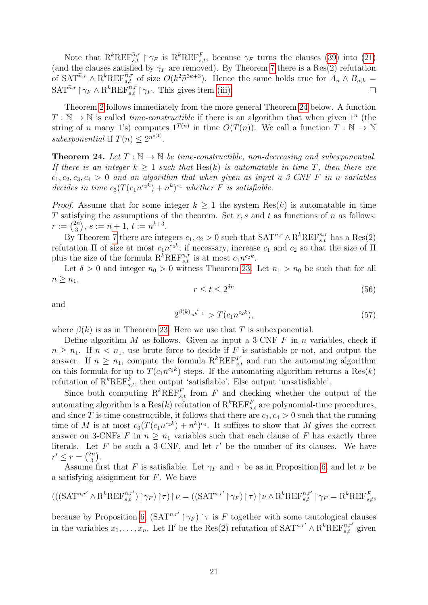Note that  $R^k$ REF $\tilde{s},t$  |  $\gamma_F$  is  $R^k$ REF $^F_{s,t}$ , because  $\gamma_F$  turns the clauses [\(39\)](#page-8-4) into [\(21\)](#page-7-0) (and the clauses satisfied by  $\gamma_F$  are removed). By Theorem [7](#page-8-6) there is a Res(2) refutation of  $\widehat{SAT}^{\tilde{n},r} \wedge \widehat{R}^k \text{REF}_{s,t}^{\tilde{n},r}$  of size  $O(k^2 \tilde{n}^{3k+3})$ . Hence the same holds true for  $A_n \wedge B_{n,k} =$  $\text{SAT}^{\tilde{n},r} \restriction \gamma_F \land \text{R}^k \text{REF}_{s,t}^{\tilde{n},r} \restriction \gamma_F$ . This gives item [\(iii\).](#page-1-2)  $\Box$ 

Theorem [2](#page-2-0) follows immediately from the more general Theorem [24](#page-20-0) below. A function  $T : \mathbb{N} \to \mathbb{N}$  is called *time-constructible* if there is an algorithm that when given  $1^n$  (the string of n many 1's) computes  $1^{T(n)}$  in time  $O(T(n))$ . We call a function  $T : \mathbb{N} \to \mathbb{N}$ subexponential if  $T(n) \leq 2^{n^{o(1)}}$ .

<span id="page-20-0"></span>**Theorem 24.** Let  $T : \mathbb{N} \to \mathbb{N}$  be time-constructible, non-decreasing and subexponential. If there is an integer  $k > 1$  such that  $\text{Res}(k)$  is automatable in time T, then there are  $c_1, c_2, c_3, c_4 > 0$  and an algorithm that when given as input a 3-CNF F in n variables decides in time  $c_3(T(c_1n^{c_2k})+n^k)^{c_4}$  whether F is satisfiable.

*Proof.* Assume that for some integer  $k \geq 1$  the system Res(k) is automatable in time T satisfying the assumptions of the theorem. Set r, s and t as functions of n as follows:  $r := \binom{2n}{3}$  $\binom{2n}{3}, s := n + 1, t := n^{k+3}.$ 

By Theorem [7](#page-8-6) there are integers  $c_1, c_2 > 0$  such that  $SAT^{n,r} \wedge R^kREF^{n,r}_{s,t}$  has a  $Res(2)$ refutation  $\Pi$  of size at most  $c_1n^{c_2k}$ ; if necessary, increase  $c_1$  and  $c_2$  so that the size of  $\Pi$ plus the size of the formula  $\mathrm{R}^k \mathrm{REF}_{s,t}^{n,r}$  is at most  $c_1 n^{c_2 k}$ .

Let  $\delta > 0$  and integer  $n_0 > 0$  witness Theorem [23.](#page-18-0) Let  $n_1 > n_0$  be such that for all  $n \geq n_1$ ,

<span id="page-20-1"></span>
$$
r \le t \le 2^{\delta n} \tag{56}
$$

and

<span id="page-20-2"></span>
$$
2^{\beta(k)\frac{t}{n^{k-1}}} > T(c_1 n^{c_2 k}),\tag{57}
$$

where  $\beta(k)$  is as in Theorem [23.](#page-18-0) Here we use that T is subexponential.

Define algorithm M as follows. Given as input a 3-CNF  $F$  in  $n$  variables, check if  $n \geq n_1$ . If  $n < n_1$ , use brute force to decide if F is satisfiable or not, and output the answer. If  $n \geq n_1$ , compute the formula  $\mathbb{R}^k \mathbb{R} \mathbb{E} \mathbb{F}^F_{s,t}$  and run the automating algorithm on this formula for up to  $T(c_1n^{c_2k})$  steps. If the automating algorithm returns a  $\text{Res}(k)$ refutation of  $\mathcal{R}^k \text{REF}_{s,t}^F$ , then output 'satisfiable'. Else output 'unsatisfiable'.

Since both computing  $R^k R E F_{s,t}^F$  from F and checking whether the output of the automating algorithm is a  $\text{Res}(k)$  refutation of  $\text{R}^k\text{REF}_{s,t}^F$  are polynomial-time procedures, and since T is time-constructible, it follows that there are  $c_3, c_4 > 0$  such that the running time of M is at most  $c_3(T(c_1n^{c_2k})+n^k)^{c_4}$ . It suffices to show that M gives the correct answer on 3-CNFs F in  $n > n_1$  variables such that each clause of F has exactly three literals. Let  $F$  be such a 3-CNF, and let  $r'$  be the number of its clauses. We have  $r' \leq r = \binom{2n}{3}$  $\binom{2n}{3}$ .

Assume first that F is satisfiable. Let  $\gamma_F$  and  $\tau$  be as in Proposition [6,](#page-6-4) and let  $\nu$  be a satisfying assignment for F. We have

$$
(((SAT^{n,r'} \wedge R^kREF^{n,r'}_{s,t})\upharpoonright \gamma_F)\upharpoonright \nu=((SAT^{n,r'}\upharpoonright \gamma_F)\upharpoonright \nu \wedge R^kREF^{n,r'}_{s,t}\upharpoonright \gamma_F=R^kREF^{F}_{s,t},
$$

because by Proposition [6,](#page-6-4)  $(SAT^{n,r'} | \gamma_F)$   $\tau$  is F together with some tautological clauses in the variables  $x_1, \ldots, x_n$ . Let  $\Pi'$  be the Res(2) refutation of  $\text{SAT}^{n,r'} \wedge \text{R}^k \text{REF}_{s,t}^{n,r'}$  given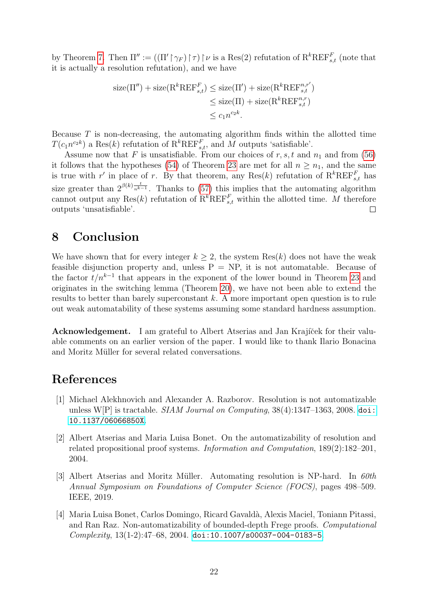by Theorem [7.](#page-8-6) Then  $\Pi' := ((\Pi' \upharpoonright \gamma_F) \upharpoonright \tau) \upharpoonright \nu$  is a  $\text{Res}(2)$  refutation of  $\mathrm{R}^k \text{REF}_{s,t}^F$  (note that it is actually a resolution refutation), and we have

$$
\begin{aligned} \text{size}(\Pi'') + \text{size}(\mathbf{R}^k \mathbf{R} \mathbf{E} \mathbf{F}_{s,t}^F) &\leq \text{size}(\Pi') + \text{size}(\mathbf{R}^k \mathbf{R} \mathbf{E} \mathbf{F}_{s,t}^{n,r'}) \\ &\leq \text{size}(\Pi) + \text{size}(\mathbf{R}^k \mathbf{R} \mathbf{E} \mathbf{F}_{s,t}^{n,r}) \\ &\leq c_1 n^{c_2 k} .\end{aligned}
$$

Because  $T$  is non-decreasing, the automating algorithm finds within the allotted time  $T(c_1n^{c_2k})$  a Res(k) refutation of  $\mathrm{R}^k \mathrm{REF}_{s,t}^F$ , and M outputs 'satisfiable'.

Assume now that F is unsatisfiable. From our choices of r, s, t and  $n_1$  and from [\(56\)](#page-20-1) it follows that the hypotheses [\(54\)](#page-18-1) of Theorem [23](#page-18-0) are met for all  $n \geq n_1$ , and the same is true with r' in place of r. By that theorem, any  $\text{Res}(k)$  refutation of  $\text{R}^k\text{REF}_{s,t}^F$  has size greater than  $2^{\beta(k)} \frac{t}{n^{k-1}}$ . Thanks to [\(57\)](#page-20-2) this implies that the automating algorithm cannot output any  $\text{Res}(k)$  refutation of  $\mathcal{R}^k \text{REF}_{s,t}^F$  within the allotted time. M therefore outputs 'unsatisfiable'.  $\Box$ 

# 8 Conclusion

We have shown that for every integer  $k \geq 2$ , the system Res(k) does not have the weak feasible disjunction property and, unless  $P = NP$ , it is not automatable. Because of the factor  $t/n^{k-1}$  that appears in the exponent of the lower bound in Theorem [23](#page-18-0) and originates in the switching lemma (Theorem [20\)](#page-14-0), we have not been able to extend the results to better than barely superconstant k. A more important open question is to rule out weak automatability of these systems assuming some standard hardness assumption.

Acknowledgement. I am grateful to Albert Atserias and Jan Krajíček for their valuable comments on an earlier version of the paper. I would like to thank Ilario Bonacina and Moritz Müller for several related conversations.

# References

- <span id="page-21-3"></span>[1] Michael Alekhnovich and Alexander A. Razborov. Resolution is not automatizable unless W[P] is tractable. *SIAM Journal on Computing*,  $38(4)$ :1347–1363, 2008. [doi:](http://dx.doi.org/10.1137/06066850X) [10.1137/06066850X](http://dx.doi.org/10.1137/06066850X).
- <span id="page-21-0"></span>[2] Albert Atserias and Maria Luisa Bonet. On the automatizability of resolution and related propositional proof systems. Information and Computation, 189(2):182–201, 2004.
- <span id="page-21-1"></span>[3] Albert Atserias and Moritz Müller. Automating resolution is NP-hard. In 60th Annual Symposium on Foundations of Computer Science (FOCS), pages 498–509. IEEE, 2019.
- <span id="page-21-2"></span>[4] Maria Luisa Bonet, Carlos Domingo, Ricard Gavald`a, Alexis Maciel, Toniann Pitassi, and Ran Raz. Non-automatizability of bounded-depth Frege proofs. Computational  $Complexity, 13(1-2):47-68, 2004.$  [doi:10.1007/s00037-004-0183-5](http://dx.doi.org/10.1007/s00037-004-0183-5).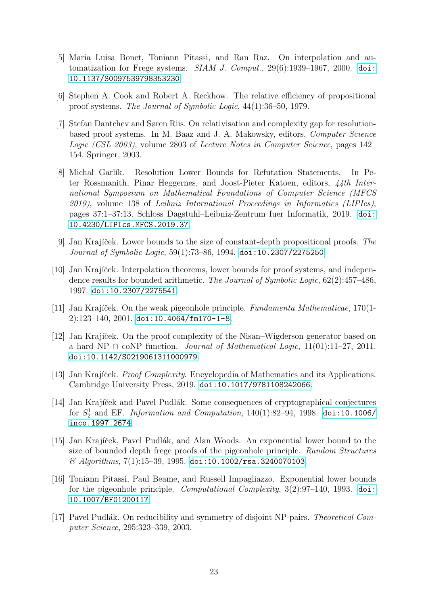- <span id="page-22-6"></span>[5] Maria Luisa Bonet, Toniann Pitassi, and Ran Raz. On interpolation and automatization for Frege systems. SIAM J. Comput.,  $29(6):1939-1967$ ,  $2000$ . [doi:](http://dx.doi.org/10.1137/S0097539798353230) [10.1137/S0097539798353230](http://dx.doi.org/10.1137/S0097539798353230).
- <span id="page-22-2"></span>[6] Stephen A. Cook and Robert A. Reckhow. The relative efficiency of propositional proof systems. The Journal of Symbolic Logic, 44(1):36–50, 1979.
- <span id="page-22-4"></span>[7] Stefan Dantchev and Søren Riis. On relativisation and complexity gap for resolutionbased proof systems. In M. Baaz and J. A. Makowsky, editors, Computer Science Logic (CSL 2003), volume 2803 of Lecture Notes in Computer Science, pages 142– 154. Springer, 2003.
- <span id="page-22-5"></span>[8] Michal Garlík. Resolution Lower Bounds for Refutation Statements. In Peter Rossmanith, Pinar Heggernes, and Joost-Pieter Katoen, editors, 44th International Symposium on Mathematical Foundations of Computer Science (MFCS 2019), volume 138 of Leibniz International Proceedings in Informatics (LIPIcs), pages 37:1–37:13. Schloss Dagstuhl–Leibniz-Zentrum fuer Informatik, 2019. [doi:](http://dx.doi.org/10.4230/LIPIcs.MFCS.2019.37) [10.4230/LIPIcs.MFCS.2019.37](http://dx.doi.org/10.4230/LIPIcs.MFCS.2019.37).
- [9] Jan Krajíček. Lower bounds to the size of constant-depth propositional proofs. The Journal of Symbolic Logic, 59(1):73–86, 1994. [doi:10.2307/2275250](http://dx.doi.org/10.2307/2275250).
- [10] Jan Krajíček. Interpolation theorems, lower bounds for proof systems, and independence results for bounded arithmetic. The Journal of Symbolic Logic, 62(2):457–486, 1997. [doi:10.2307/2275541](http://dx.doi.org/10.2307/2275541).
- <span id="page-22-8"></span>[11] Jan Krajíček. On the weak pigeonhole principle. Fundamenta Mathematicae,  $170(1-$ 2):123–140, 2001. [doi:10.4064/fm170-1-8](http://dx.doi.org/10.4064/fm170-1-8).
- <span id="page-22-3"></span>[12] Jan Krajíček. On the proof complexity of the Nisan–Wigderson generator based on a hard NP ∩ coNP function. *Journal of Mathematical Logic*,  $11(01):11-27$ ,  $2011$ . [doi:10.1142/S0219061311000979](http://dx.doi.org/10.1142/S0219061311000979).
- <span id="page-22-1"></span>[13] Jan Krajíček. *Proof Complexity*. Encyclopedia of Mathematics and its Applications. Cambridge University Press, 2019. [doi:10.1017/9781108242066](http://dx.doi.org/10.1017/9781108242066).
- <span id="page-22-7"></span>[14] Jan Krajíček and Pavel Pudlák. Some consequences of cryptographical conjectures for  $S_2^1$  and EF. *Information and Computation*, 140(1):82–94, 1998. [doi:10.1006/](http://dx.doi.org/10.1006/inco.1997.2674) [inco.1997.2674](http://dx.doi.org/10.1006/inco.1997.2674).
- <span id="page-22-9"></span>[15] Jan Krajíček, Pavel Pudlák, and Alan Woods. An exponential lower bound to the size of bounded depth frege proofs of the pigeonhole principle. Random Structures  $\mathcal{B}$  Algorithms, 7(1):15-39, 1995. [doi:10.1002/rsa.3240070103](http://dx.doi.org/10.1002/rsa.3240070103).
- <span id="page-22-10"></span>[16] Toniann Pitassi, Paul Beame, and Russell Impagliazzo. Exponential lower bounds for the pigeonhole principle. Computational Complexity, 3(2):97–140, 1993. [doi:](http://dx.doi.org/10.1007/BF01200117) [10.1007/BF01200117](http://dx.doi.org/10.1007/BF01200117).
- <span id="page-22-0"></span>[17] Pavel Pudlák. On reducibility and symmetry of disjoint NP-pairs. Theoretical Computer Science, 295:323–339, 2003.